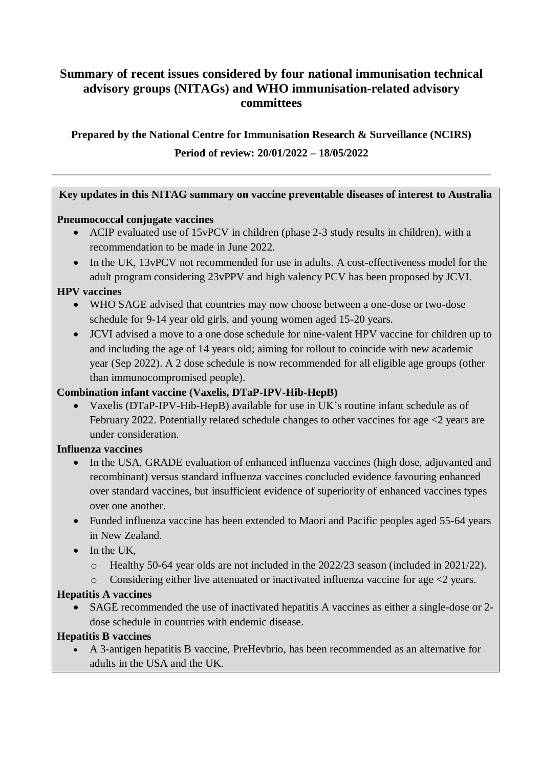# **Summary of recent issues considered by four national immunisation technical advisory groups (NITAGs) and WHO immunisation-related advisory committees**

# **Prepared by the National Centre for Immunisation Research & Surveillance (NCIRS) Period of review: 20/01/2022 – 18/05/2022**

### **Key updates in this NITAG summary on vaccine preventable diseases of interest to Australia**

### **Pneumococcal conjugate vaccines**

- ACIP evaluated use of 15vPCV in children (phase 2-3 study results in children), with a recommendation to be made in June 2022.
- In the UK, 13vPCV not recommended for use in adults. A cost-effectiveness model for the adult program considering 23vPPV and high valency PCV has been proposed by JCVI.

### **HPV vaccines**

- WHO SAGE advised that countries may now choose between a one-dose or two-dose schedule for 9-14 year old girls, and young women aged 15-20 years.
- JCVI advised a move to a one dose schedule for nine-valent HPV vaccine for children up to and including the age of 14 years old; aiming for rollout to coincide with new academic year (Sep 2022). A 2 dose schedule is now recommended for all eligible age groups (other than immunocompromised people).

## **Combination infant vaccine (Vaxelis, DTaP-IPV-Hib-HepB)**

 Vaxelis (DTaP-IPV-Hib-HepB) available for use in UK's routine infant schedule as of February 2022. Potentially related schedule changes to other vaccines for age  $\leq$  years are under consideration.

## **Influenza vaccines**

- In the USA, GRADE evaluation of enhanced influenza vaccines (high dose, adjuvanted and recombinant) versus standard influenza vaccines concluded evidence favouring enhanced over standard vaccines, but insufficient evidence of superiority of enhanced vaccines types over one another.
- Funded influenza vaccine has been extended to Maori and Pacific peoples aged 55-64 years in New Zealand.
- $\bullet$  In the UK.
	- o Healthy 50-64 year olds are not included in the 2022/23 season (included in 2021/22).
	- o Considering either live attenuated or inactivated influenza vaccine for age <2 years.

## **Hepatitis A vaccines**

 SAGE recommended the use of inactivated hepatitis A vaccines as either a single-dose or 2 dose schedule in countries with endemic disease.

## **Hepatitis B vaccines**

 A 3-antigen hepatitis B vaccine, PreHevbrio, has been recommended as an alternative for adults in the USA and the UK.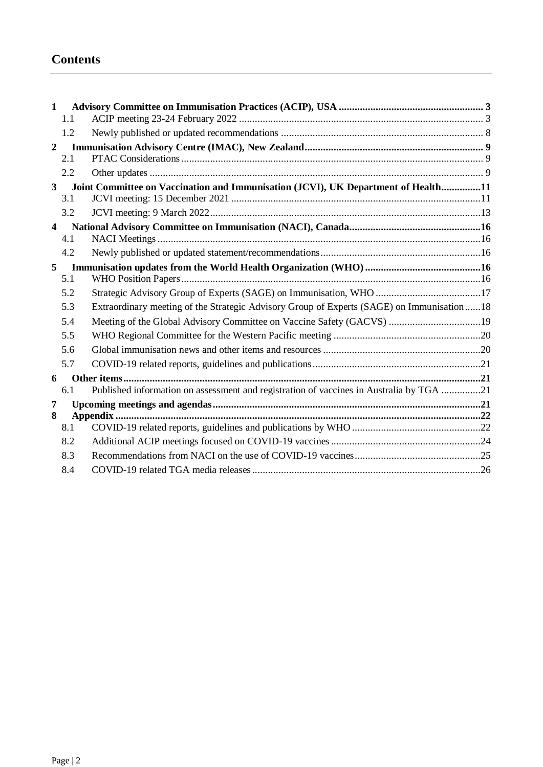# **Contents**

| $\mathbf{1}$            |                                                                                   |                                                                                           |  |
|-------------------------|-----------------------------------------------------------------------------------|-------------------------------------------------------------------------------------------|--|
|                         | 1.1                                                                               |                                                                                           |  |
|                         | 1.2                                                                               |                                                                                           |  |
| $\overline{2}$          |                                                                                   |                                                                                           |  |
|                         | 2.1                                                                               |                                                                                           |  |
|                         | 2.2                                                                               |                                                                                           |  |
| $3^{\circ}$             | Joint Committee on Vaccination and Immunisation (JCVI), UK Department of Health11 |                                                                                           |  |
|                         | 3.1                                                                               |                                                                                           |  |
|                         | 3.2                                                                               |                                                                                           |  |
| $\overline{\mathbf{4}}$ |                                                                                   |                                                                                           |  |
|                         | 4.1                                                                               |                                                                                           |  |
|                         | 4.2                                                                               |                                                                                           |  |
| 5                       |                                                                                   |                                                                                           |  |
|                         | 5.1                                                                               |                                                                                           |  |
|                         | 5.2                                                                               |                                                                                           |  |
|                         | 5.3                                                                               | Extraordinary meeting of the Strategic Advisory Group of Experts (SAGE) on Immunisation18 |  |
|                         | 5.4                                                                               |                                                                                           |  |
|                         | 5.5                                                                               |                                                                                           |  |
|                         | 5.6                                                                               |                                                                                           |  |
|                         | 5.7                                                                               |                                                                                           |  |
| 6                       |                                                                                   |                                                                                           |  |
|                         | 6.1                                                                               | Published information on assessment and registration of vaccines in Australia by TGA 21   |  |
| 7                       |                                                                                   |                                                                                           |  |
| 8                       |                                                                                   |                                                                                           |  |
|                         | 8.1                                                                               |                                                                                           |  |
|                         | 8.2                                                                               |                                                                                           |  |
|                         | 8.3                                                                               |                                                                                           |  |
|                         | 8.4                                                                               |                                                                                           |  |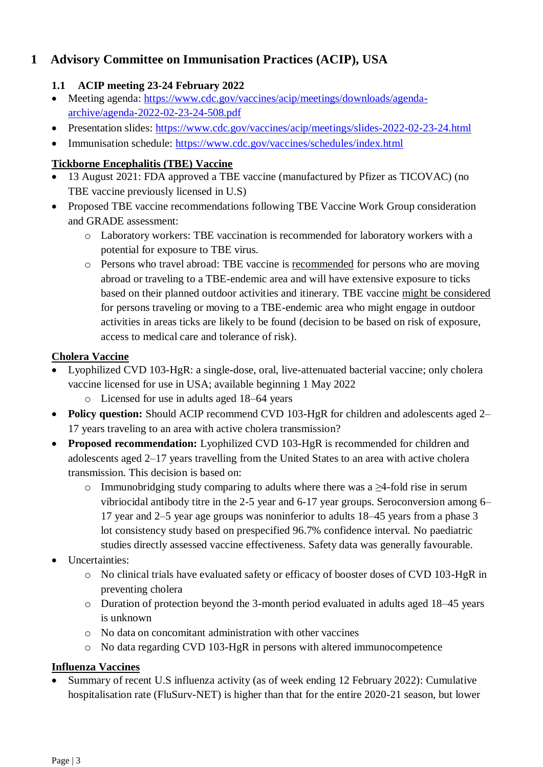# <span id="page-2-0"></span>**1 Advisory Committee on Immunisation Practices (ACIP), USA**

## <span id="page-2-1"></span>**1.1 ACIP meeting 23-24 February 2022**

- Meeting agenda: [https://www.cdc.gov/vaccines/acip/meetings/downloads/agenda](https://www.cdc.gov/vaccines/acip/meetings/downloads/agenda-archive/agenda-2022-02-23-24-508.pdf)[archive/agenda-2022-02-23-24-508.pdf](https://www.cdc.gov/vaccines/acip/meetings/downloads/agenda-archive/agenda-2022-02-23-24-508.pdf)
- Presentation slides:<https://www.cdc.gov/vaccines/acip/meetings/slides-2022-02-23-24.html>
- Immunisation schedule:<https://www.cdc.gov/vaccines/schedules/index.html>

## **Tickborne Encephalitis (TBE) Vaccine**

- 13 August 2021: FDA approved a TBE vaccine (manufactured by Pfizer as TICOVAC) (no TBE vaccine previously licensed in U.S)
- Proposed TBE vaccine recommendations following TBE Vaccine Work Group consideration and GRADE assessment:
	- o Laboratory workers: TBE vaccination is recommended for laboratory workers with a potential for exposure to TBE virus.
	- o Persons who travel abroad: TBE vaccine is recommended for persons who are moving abroad or traveling to a TBE-endemic area and will have extensive exposure to ticks based on their planned outdoor activities and itinerary. TBE vaccine might be considered for persons traveling or moving to a TBE-endemic area who might engage in outdoor activities in areas ticks are likely to be found (decision to be based on risk of exposure, access to medical care and tolerance of risk).

### **Cholera Vaccine**

- Lyophilized CVD 103-HgR: a single-dose, oral, live-attenuated bacterial vaccine; only cholera vaccine licensed for use in USA; available beginning 1 May 2022
	- o Licensed for use in adults aged 18–64 years
- **Policy question:** Should ACIP recommend CVD 103-HgR for children and adolescents aged 2– 17 years traveling to an area with active cholera transmission?
- **Proposed recommendation:** Lyophilized CVD 103-HgR is recommended for children and adolescents aged 2–17 years travelling from the United States to an area with active cholera transmission. This decision is based on:
	- o Immunobridging study comparing to adults where there was a ≥4-fold rise in serum vibriocidal antibody titre in the 2-5 year and 6-17 year groups. Seroconversion among 6– 17 year and 2–5 year age groups was noninferior to adults 18–45 years from a phase 3 lot consistency study based on prespecified 96.7% confidence interval. No paediatric studies directly assessed vaccine effectiveness. Safety data was generally favourable.
- Uncertainties:
	- o No clinical trials have evaluated safety or efficacy of booster doses of CVD 103-HgR in preventing cholera
	- o Duration of protection beyond the 3-month period evaluated in adults aged 18–45 years is unknown
	- o No data on concomitant administration with other vaccines
	- o No data regarding CVD 103-HgR in persons with altered immunocompetence

## **Influenza Vaccines**

 Summary of recent U.S influenza activity (as of week ending 12 February 2022): Cumulative hospitalisation rate (FluSurv-NET) is higher than that for the entire 2020-21 season, but lower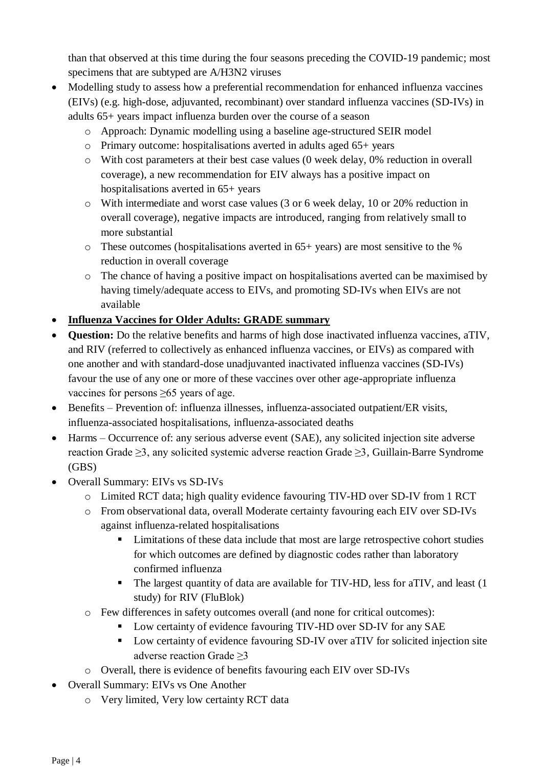than that observed at this time during the four seasons preceding the COVID-19 pandemic; most specimens that are subtyped are A/H3N2 viruses

- Modelling study to assess how a preferential recommendation for enhanced influenza vaccines (EIVs) (e.g. high-dose, adjuvanted, recombinant) over standard influenza vaccines (SD-IVs) in adults 65+ years impact influenza burden over the course of a season
	- o Approach: Dynamic modelling using a baseline age-structured SEIR model
	- $\circ$  Primary outcome: hospitalisations averted in adults aged 65+ years
	- o With cost parameters at their best case values (0 week delay, 0% reduction in overall coverage), a new recommendation for EIV always has a positive impact on hospitalisations averted in 65+ years
	- o With intermediate and worst case values (3 or 6 week delay, 10 or 20% reduction in overall coverage), negative impacts are introduced, ranging from relatively small to more substantial
	- o These outcomes (hospitalisations averted in 65+ years) are most sensitive to the % reduction in overall coverage
	- $\circ$  The chance of having a positive impact on hospitalisations averted can be maximised by having timely/adequate access to EIVs, and promoting SD-IVs when EIVs are not available
- **Influenza Vaccines for Older Adults: GRADE summary**
- **Question:** Do the relative benefits and harms of high dose inactivated influenza vaccines, aTIV, and RIV (referred to collectively as enhanced influenza vaccines, or EIVs) as compared with one another and with standard-dose unadjuvanted inactivated influenza vaccines (SD-IVs) favour the use of any one or more of these vaccines over other age-appropriate influenza vaccines for persons ≥65 years of age.
- Benefits Prevention of: influenza illnesses, influenza-associated outpatient/ER visits, influenza-associated hospitalisations, influenza-associated deaths
- Harms Occurrence of: any serious adverse event (SAE), any solicited injection site adverse reaction Grade ≥3, any solicited systemic adverse reaction Grade ≥3, Guillain-Barre Syndrome (GBS)
- Overall Summary: EIVs vs SD-IVs
	- o Limited RCT data; high quality evidence favouring TIV-HD over SD-IV from 1 RCT
	- o From observational data, overall Moderate certainty favouring each EIV over SD-IVs against influenza-related hospitalisations
		- **EXECUTE:** Limitations of these data include that most are large retrospective cohort studies for which outcomes are defined by diagnostic codes rather than laboratory confirmed influenza
		- The largest quantity of data are available for TIV-HD, less for aTIV, and least (1 study) for RIV (FluBlok)
	- o Few differences in safety outcomes overall (and none for critical outcomes):
		- Low certainty of evidence favouring TIV-HD over SD-IV for any SAE
		- Low certainty of evidence favouring SD-IV over aTIV for solicited injection site adverse reaction Grade ≥3
	- o Overall, there is evidence of benefits favouring each EIV over SD-IVs
- Overall Summary: EIVs vs One Another
	- o Very limited, Very low certainty RCT data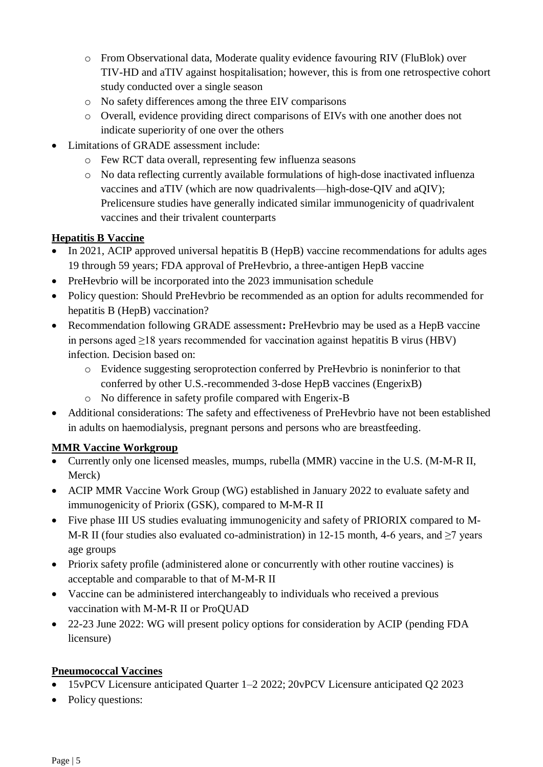- o From Observational data, Moderate quality evidence favouring RIV (FluBlok) over TIV-HD and aTIV against hospitalisation; however, this is from one retrospective cohort study conducted over a single season
- o No safety differences among the three EIV comparisons
- o Overall, evidence providing direct comparisons of EIVs with one another does not indicate superiority of one over the others
- Limitations of GRADE assessment include:
	- o Few RCT data overall, representing few influenza seasons
	- o No data reflecting currently available formulations of high-dose inactivated influenza vaccines and aTIV (which are now quadrivalents—high-dose-QIV and aQIV); Prelicensure studies have generally indicated similar immunogenicity of quadrivalent vaccines and their trivalent counterparts

## **Hepatitis B Vaccine**

- In 2021, ACIP approved universal hepatitis B (HepB) vaccine recommendations for adults ages 19 through 59 years; FDA approval of PreHevbrio, a three-antigen HepB vaccine
- PreHevbrio will be incorporated into the 2023 immunisation schedule
- Policy question: Should PreHevbrio be recommended as an option for adults recommended for hepatitis B (HepB) vaccination?
- Recommendation following GRADE assessment**:** PreHevbrio may be used as a HepB vaccine in persons aged  $\geq$ 18 years recommended for vaccination against hepatitis B virus (HBV) infection. Decision based on:
	- o Evidence suggesting seroprotection conferred by PreHevbrio is noninferior to that conferred by other U.S.-recommended 3-dose HepB vaccines (EngerixB)
	- o No difference in safety profile compared with Engerix-B
- Additional considerations: The safety and effectiveness of PreHevbrio have not been established in adults on haemodialysis, pregnant persons and persons who are breastfeeding.

## **MMR Vaccine Workgroup**

- Currently only one licensed measles, mumps, rubella (MMR) vaccine in the U.S. (M-M-R II, Merck)
- ACIP MMR Vaccine Work Group (WG) established in January 2022 to evaluate safety and immunogenicity of Priorix (GSK), compared to M-M-R II
- Five phase III US studies evaluating immunogenicity and safety of PRIORIX compared to M-M-R II (four studies also evaluated co-administration) in 12-15 month, 4-6 years, and ≥7 years age groups
- Priorix safety profile (administered alone or concurrently with other routine vaccines) is acceptable and comparable to that of M-M-R II
- Vaccine can be administered interchangeably to individuals who received a previous vaccination with M-M-R II or ProQUAD
- 22-23 June 2022: WG will present policy options for consideration by ACIP (pending FDA licensure)

## **Pneumococcal Vaccines**

- 15vPCV Licensure anticipated Quarter 1–2 2022; 20vPCV Licensure anticipated Q2 2023
- Policy questions: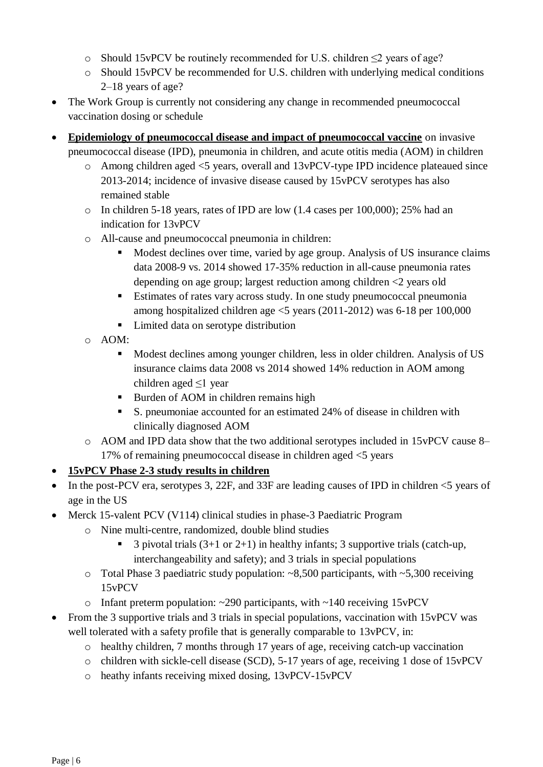- o Should 15vPCV be routinely recommended for U.S. children ≤2 years of age?
- o Should 15vPCV be recommended for U.S. children with underlying medical conditions 2–18 years of age?
- The Work Group is currently not considering any change in recommended pneumococcal vaccination dosing or schedule
- **Epidemiology of pneumococcal disease and impact of pneumococcal vaccine** on invasive pneumococcal disease (IPD), pneumonia in children, and acute otitis media (AOM) in children
	- $\circ$  Among children aged  $\leq$  years, overall and 13vPCV-type IPD incidence plateaued since 2013-2014; incidence of invasive disease caused by 15vPCV serotypes has also remained stable
	- o In children 5-18 years, rates of IPD are low (1.4 cases per 100,000); 25% had an indication for 13vPCV
	- o All-cause and pneumococcal pneumonia in children:
		- Modest declines over time, varied by age group. Analysis of US insurance claims data 2008-9 vs. 2014 showed 17-35% reduction in all-cause pneumonia rates depending on age group; largest reduction among children <2 years old
		- Estimates of rates vary across study. In one study pneumococcal pneumonia among hospitalized children age <5 years (2011-2012) was 6-18 per 100,000
		- Limited data on serotype distribution
	- o AOM:
		- Modest declines among younger children, less in older children. Analysis of US insurance claims data 2008 vs 2014 showed 14% reduction in AOM among children aged ≤1 year
		- Burden of AOM in children remains high
		- S. pneumoniae accounted for an estimated 24% of disease in children with clinically diagnosed AOM
	- o AOM and IPD data show that the two additional serotypes included in 15vPCV cause 8– 17% of remaining pneumococcal disease in children aged <5 years
- **15vPCV Phase 2-3 study results in children**
- In the post-PCV era, serotypes 3, 22F, and 33F are leading causes of IPD in children  $\leq$  years of age in the US
- Merck 15-valent PCV (V114) clinical studies in phase-3 Paediatric Program
	- o Nine multi-centre, randomized, double blind studies
		- 3 pivotal trials  $(3+1 \text{ or } 2+1)$  in healthy infants; 3 supportive trials (catch-up, interchangeability and safety); and 3 trials in special populations
	- o Total Phase 3 paediatric study population: ~8,500 participants, with ~5,300 receiving 15vPCV
	- $\circ$  Infant preterm population: ~290 participants, with ~140 receiving 15vPCV
- From the 3 supportive trials and 3 trials in special populations, vaccination with 15vPCV was well tolerated with a safety profile that is generally comparable to 13vPCV, in:
	- o healthy children, 7 months through 17 years of age, receiving catch-up vaccination
	- o children with sickle-cell disease (SCD), 5-17 years of age, receiving 1 dose of 15vPCV
	- o heathy infants receiving mixed dosing, 13vPCV-15vPCV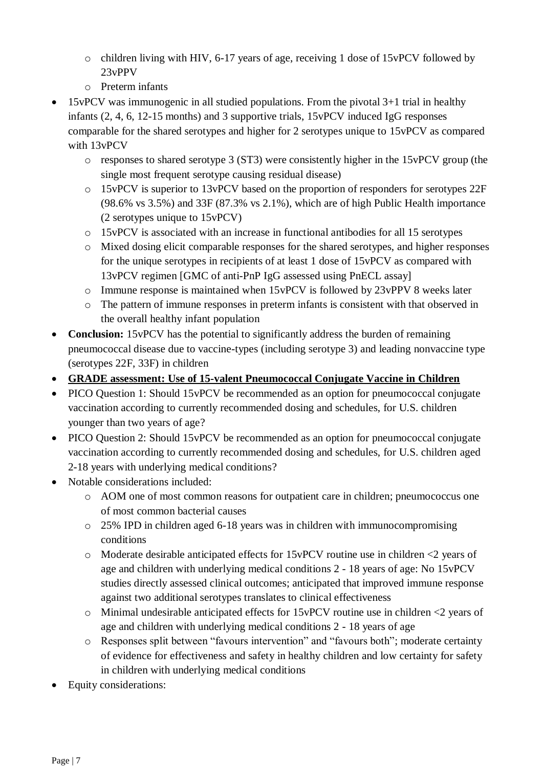- o children living with HIV, 6-17 years of age, receiving 1 dose of 15vPCV followed by 23vPPV
- o Preterm infants
- 15vPCV was immunogenic in all studied populations. From the pivotal 3+1 trial in healthy infants (2, 4, 6, 12-15 months) and 3 supportive trials, 15vPCV induced IgG responses comparable for the shared serotypes and higher for 2 serotypes unique to 15vPCV as compared with 13vPCV
	- $\circ$  responses to shared serotype 3 (ST3) were consistently higher in the 15vPCV group (the single most frequent serotype causing residual disease)
	- o 15vPCV is superior to 13vPCV based on the proportion of responders for serotypes 22F (98.6% vs 3.5%) and 33F (87.3% vs 2.1%), which are of high Public Health importance (2 serotypes unique to 15vPCV)
	- o 15vPCV is associated with an increase in functional antibodies for all 15 serotypes
	- o Mixed dosing elicit comparable responses for the shared serotypes, and higher responses for the unique serotypes in recipients of at least 1 dose of 15vPCV as compared with 13vPCV regimen [GMC of anti-PnP IgG assessed using PnECL assay]
	- o Immune response is maintained when 15vPCV is followed by 23vPPV 8 weeks later
	- o The pattern of immune responses in preterm infants is consistent with that observed in the overall healthy infant population
- **Conclusion:** 15vPCV has the potential to significantly address the burden of remaining pneumococcal disease due to vaccine-types (including serotype 3) and leading nonvaccine type (serotypes 22F, 33F) in children
- **GRADE assessment: Use of 15-valent Pneumococcal Conjugate Vaccine in Children**
- PICO Question 1: Should 15 vPCV be recommended as an option for pneumococcal conjugate vaccination according to currently recommended dosing and schedules, for U.S. children younger than two years of age?
- PICO Question 2: Should 15vPCV be recommended as an option for pneumococcal conjugate vaccination according to currently recommended dosing and schedules, for U.S. children aged 2-18 years with underlying medical conditions?
- Notable considerations included:
	- o AOM one of most common reasons for outpatient care in children; pneumococcus one of most common bacterial causes
	- o 25% IPD in children aged 6-18 years was in children with immunocompromising conditions
	- o Moderate desirable anticipated effects for 15vPCV routine use in children <2 years of age and children with underlying medical conditions 2 - 18 years of age: No 15vPCV studies directly assessed clinical outcomes; anticipated that improved immune response against two additional serotypes translates to clinical effectiveness
	- o Minimal undesirable anticipated effects for 15vPCV routine use in children <2 years of age and children with underlying medical conditions 2 - 18 years of age
	- o Responses split between "favours intervention" and "favours both"; moderate certainty of evidence for effectiveness and safety in healthy children and low certainty for safety in children with underlying medical conditions
- Equity considerations: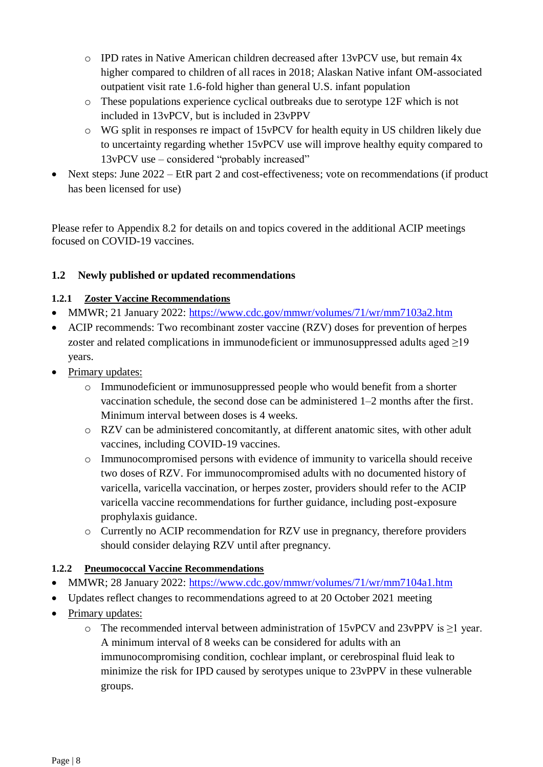- $\circ$  IPD rates in Native American children decreased after 13vPCV use, but remain 4x higher compared to children of all races in 2018; Alaskan Native infant OM-associated outpatient visit rate 1.6-fold higher than general U.S. infant population
- o These populations experience cyclical outbreaks due to serotype 12F which is not included in 13vPCV, but is included in 23vPPV
- o WG split in responses re impact of 15vPCV for health equity in US children likely due to uncertainty regarding whether 15vPCV use will improve healthy equity compared to 13vPCV use – considered "probably increased"
- Next steps: June 2022 EtR part 2 and cost-effectiveness; vote on recommendations (if product has been licensed for use)

Please refer to Appendix 8.2 for details on and topics covered in the additional ACIP meetings focused on COVID-19 vaccines.

## <span id="page-7-0"></span>**1.2 Newly published or updated recommendations**

## **1.2.1 Zoster Vaccine Recommendations**

- MMWR; 21 January 2022: <https://www.cdc.gov/mmwr/volumes/71/wr/mm7103a2.htm>
- ACIP recommends: Two recombinant zoster vaccine (RZV) doses for prevention of herpes zoster and related complications in immunodeficient or immunosuppressed adults aged  $\geq$ 19 years.
- Primary updates:
	- o Immunodeficient or immunosuppressed people who would benefit from a shorter vaccination schedule, the second dose can be administered 1–2 months after the first. Minimum interval between doses is 4 weeks.
	- o RZV can be administered concomitantly, at different anatomic sites, with other adult vaccines, including COVID-19 vaccines.
	- o Immunocompromised persons with evidence of immunity to varicella should receive two doses of RZV. For immunocompromised adults with no documented history of varicella, varicella vaccination, or herpes zoster, providers should refer to the ACIP varicella vaccine recommendations for further guidance, including post-exposure prophylaxis guidance.
	- o Currently no ACIP recommendation for RZV use in pregnancy, therefore providers should consider delaying RZV until after pregnancy.

## **1.2.2 Pneumococcal Vaccine Recommendations**

- MMWR; 28 January 2022: <https://www.cdc.gov/mmwr/volumes/71/wr/mm7104a1.htm>
- Updates reflect changes to recommendations agreed to at 20 October 2021 meeting
- Primary updates:
	- o The recommended interval between administration of 15vPCV and 23vPPV is ≥1 year. A minimum interval of 8 weeks can be considered for adults with an immunocompromising condition, cochlear implant, or cerebrospinal fluid leak to minimize the risk for IPD caused by serotypes unique to 23vPPV in these vulnerable groups.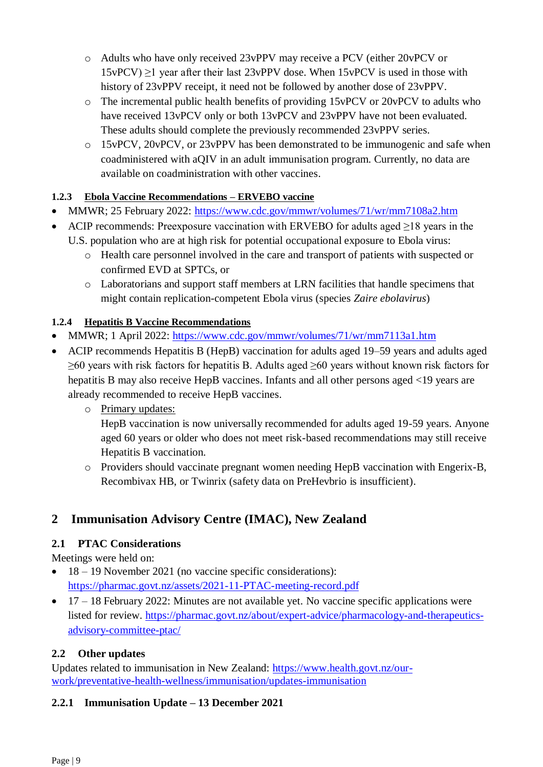- o Adults who have only received 23vPPV may receive a PCV (either 20vPCV or  $15vPCV$ )  $\geq$ 1 year after their last 23vPPV dose. When 15vPCV is used in those with history of 23vPPV receipt, it need not be followed by another dose of 23vPPV.
- o The incremental public health benefits of providing 15vPCV or 20vPCV to adults who have received 13vPCV only or both 13vPCV and 23vPPV have not been evaluated. These adults should complete the previously recommended 23vPPV series.
- o 15vPCV, 20vPCV, or 23vPPV has been demonstrated to be immunogenic and safe when coadministered with aQIV in an adult immunisation program. Currently, no data are available on coadministration with other vaccines.

## **1.2.3 Ebola Vaccine Recommendations – ERVEBO vaccine**

- MMWR; 25 February 2022:<https://www.cdc.gov/mmwr/volumes/71/wr/mm7108a2.htm>
- ACIP recommends: Preexposure vaccination with ERVEBO for adults aged  $\geq$ 18 years in the U.S. population who are at high risk for potential occupational exposure to Ebola virus:
	- o Health care personnel involved in the care and transport of patients with suspected or confirmed EVD at SPTCs, or
	- o Laboratorians and support staff members at LRN facilities that handle specimens that might contain replication-competent Ebola virus (species *Zaire ebolavirus*)

## **1.2.4 Hepatitis B Vaccine Recommendations**

- MMWR; 1 April 2022: <https://www.cdc.gov/mmwr/volumes/71/wr/mm7113a1.htm>
- ACIP recommends Hepatitis B (HepB) vaccination for adults aged 19–59 years and adults aged ≥60 years with risk factors for hepatitis B. Adults aged ≥60 years without known risk factors for hepatitis B may also receive HepB vaccines. Infants and all other persons aged <19 years are already recommended to receive HepB vaccines.
	- o Primary updates:

HepB vaccination is now universally recommended for adults aged 19-59 years. Anyone aged 60 years or older who does not meet risk-based recommendations may still receive Hepatitis B vaccination.

o Providers should vaccinate pregnant women needing HepB vaccination with Engerix-B, Recombivax HB, or Twinrix (safety data on PreHevbrio is insufficient).

# <span id="page-8-0"></span>**2 Immunisation Advisory Centre (IMAC), New Zealand**

## <span id="page-8-1"></span>**2.1 PTAC Considerations**

Meetings were held on:

- 18 19 November 2021 (no vaccine specific considerations): <https://pharmac.govt.nz/assets/2021-11-PTAC-meeting-record.pdf>
- $\bullet$  17 18 February 2022: Minutes are not available yet. No vaccine specific applications were listed for review. [https://pharmac.govt.nz/about/expert-advice/pharmacology-and-therapeutics](https://pharmac.govt.nz/about/expert-advice/pharmacology-and-therapeutics-advisory-committee-ptac/)[advisory-committee-ptac/](https://pharmac.govt.nz/about/expert-advice/pharmacology-and-therapeutics-advisory-committee-ptac/)

## <span id="page-8-2"></span>**2.2 Other updates**

Updates related to immunisation in New Zealand: [https://www.health.govt.nz/our](https://www.health.govt.nz/our-work/preventative-health-wellness/immunisation/updates-immunisation)[work/preventative-health-wellness/immunisation/updates-immunisation](https://www.health.govt.nz/our-work/preventative-health-wellness/immunisation/updates-immunisation)

## **2.2.1 Immunisation Update – 13 December 2021**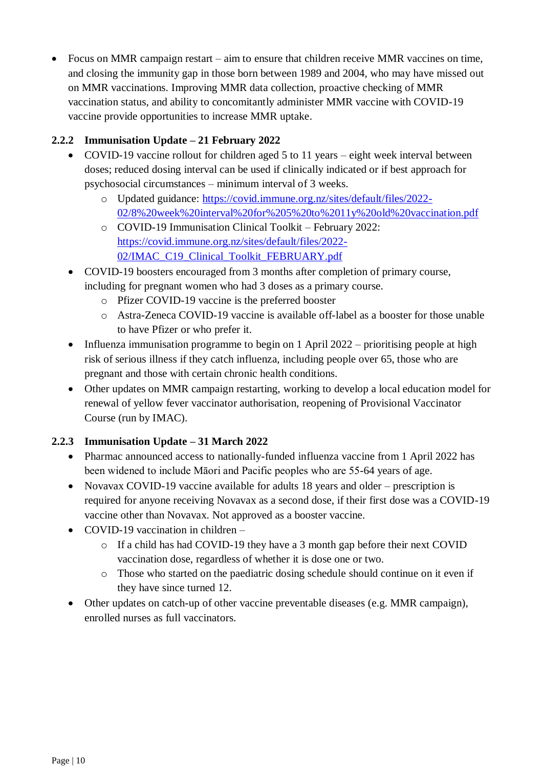Focus on MMR campaign restart – aim to ensure that children receive MMR vaccines on time, and closing the immunity gap in those born between 1989 and 2004, who may have missed out on MMR vaccinations. Improving MMR data collection, proactive checking of MMR vaccination status, and ability to concomitantly administer MMR vaccine with COVID-19 vaccine provide opportunities to increase MMR uptake.

## **2.2.2 Immunisation Update – 21 February 2022**

- COVID-19 vaccine rollout for children aged 5 to 11 years eight week interval between doses; reduced dosing interval can be used if clinically indicated or if best approach for psychosocial circumstances – minimum interval of 3 weeks.
	- o Updated guidance: [https://covid.immune.org.nz/sites/default/files/2022-](https://covid.immune.org.nz/sites/default/files/2022-02/8%20week%20interval%20for%205%20to%2011y%20old%20vaccination.pdf) [02/8%20week%20interval%20for%205%20to%2011y%20old%20vaccination.pdf](https://covid.immune.org.nz/sites/default/files/2022-02/8%20week%20interval%20for%205%20to%2011y%20old%20vaccination.pdf)
	- o COVID-19 Immunisation Clinical Toolkit February 2022: [https://covid.immune.org.nz/sites/default/files/2022-](https://covid.immune.org.nz/sites/default/files/2022-02/IMAC_C19_Clinical_Toolkit_FEBRUARY.pdf) [02/IMAC\\_C19\\_Clinical\\_Toolkit\\_FEBRUARY.pdf](https://covid.immune.org.nz/sites/default/files/2022-02/IMAC_C19_Clinical_Toolkit_FEBRUARY.pdf)
- COVID-19 boosters encouraged from 3 months after completion of primary course, including for pregnant women who had 3 doses as a primary course.
	- o Pfizer COVID-19 vaccine is the preferred booster
	- o Astra-Zeneca COVID-19 vaccine is available off-label as a booster for those unable to have Pfizer or who prefer it.
- Influenza immunisation programme to begin on 1 April 2022 prioritising people at high risk of serious illness if they catch influenza, including people over 65, those who are pregnant and those with certain chronic health conditions.
- Other updates on MMR campaign restarting, working to develop a local education model for renewal of yellow fever vaccinator authorisation, reopening of Provisional Vaccinator Course (run by IMAC).

## **2.2.3 Immunisation Update – 31 March 2022**

- Pharmac announced access to nationally-funded influenza vaccine from 1 April 2022 has been widened to include Māori and Pacific peoples who are 55-64 years of age.
- Novavax COVID-19 vaccine available for adults 18 years and older prescription is required for anyone receiving Novavax as a second dose, if their first dose was a COVID-19 vaccine other than Novavax. Not approved as a booster vaccine.
- COVID-19 vaccination in children
	- o If a child has had COVID-19 they have a 3 month gap before their next COVID vaccination dose, regardless of whether it is dose one or two.
	- o Those who started on the paediatric dosing schedule should continue on it even if they have since turned 12.
- Other updates on catch-up of other vaccine preventable diseases (e.g. MMR campaign), enrolled nurses as full vaccinators.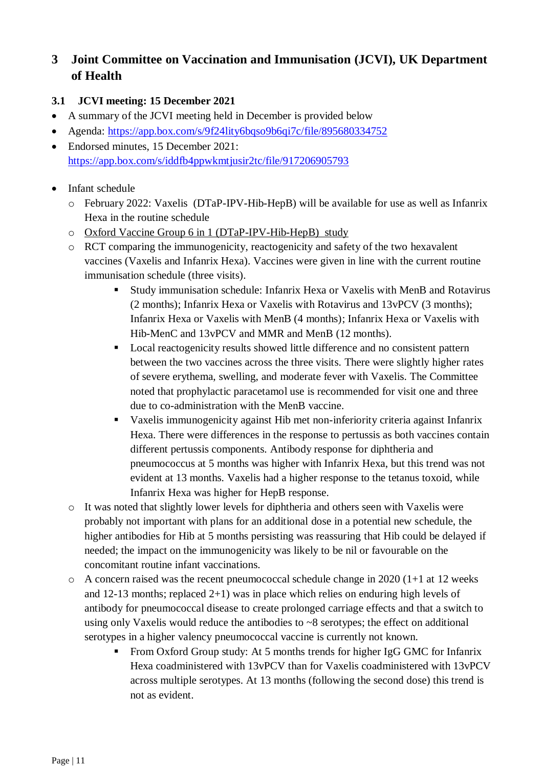# <span id="page-10-0"></span>**3 Joint Committee on Vaccination and Immunisation (JCVI), UK Department of Health**

## <span id="page-10-1"></span>**3.1 JCVI meeting: 15 December 2021**

- A summary of the JCVI meeting held in December is provided below
- Agenda: <https://app.box.com/s/9f24lity6bqso9b6qi7c/file/895680334752>
- Endorsed minutes, 15 December 2021: <https://app.box.com/s/iddfb4ppwkmtjusir2tc/file/917206905793>
- Infant schedule
	- o February 2022: Vaxelis (DTaP-IPV-Hib-HepB) will be available for use as well as Infanrix Hexa in the routine schedule
	- o Oxford Vaccine Group 6 in 1 (DTaP-IPV-Hib-HepB) study
	- o RCT comparing the immunogenicity, reactogenicity and safety of the two hexavalent vaccines (Vaxelis and Infanrix Hexa). Vaccines were given in line with the current routine immunisation schedule (three visits).
		- Study immunisation schedule: Infanrix Hexa or Vaxelis with MenB and Rotavirus (2 months); Infanrix Hexa or Vaxelis with Rotavirus and 13vPCV (3 months); Infanrix Hexa or Vaxelis with MenB (4 months); Infanrix Hexa or Vaxelis with Hib-MenC and 13vPCV and MMR and MenB (12 months).
		- Local reactogenicity results showed little difference and no consistent pattern between the two vaccines across the three visits. There were slightly higher rates of severe erythema, swelling, and moderate fever with Vaxelis. The Committee noted that prophylactic paracetamol use is recommended for visit one and three due to co-administration with the MenB vaccine.
		- Vaxelis immunogenicity against Hib met non-inferiority criteria against Infanrix Hexa. There were differences in the response to pertussis as both vaccines contain different pertussis components. Antibody response for diphtheria and pneumococcus at 5 months was higher with Infanrix Hexa, but this trend was not evident at 13 months. Vaxelis had a higher response to the tetanus toxoid, while Infanrix Hexa was higher for HepB response.
	- o It was noted that slightly lower levels for diphtheria and others seen with Vaxelis were probably not important with plans for an additional dose in a potential new schedule, the higher antibodies for Hib at 5 months persisting was reassuring that Hib could be delayed if needed; the impact on the immunogenicity was likely to be nil or favourable on the concomitant routine infant vaccinations.
	- o A concern raised was the recent pneumococcal schedule change in 2020 (1+1 at 12 weeks and 12-13 months; replaced 2+1) was in place which relies on enduring high levels of antibody for pneumococcal disease to create prolonged carriage effects and that a switch to using only Vaxelis would reduce the antibodies to ~8 serotypes; the effect on additional serotypes in a higher valency pneumococcal vaccine is currently not known.
		- From Oxford Group study: At 5 months trends for higher IgG GMC for Infanrix Hexa coadministered with 13vPCV than for Vaxelis coadministered with 13vPCV across multiple serotypes. At 13 months (following the second dose) this trend is not as evident.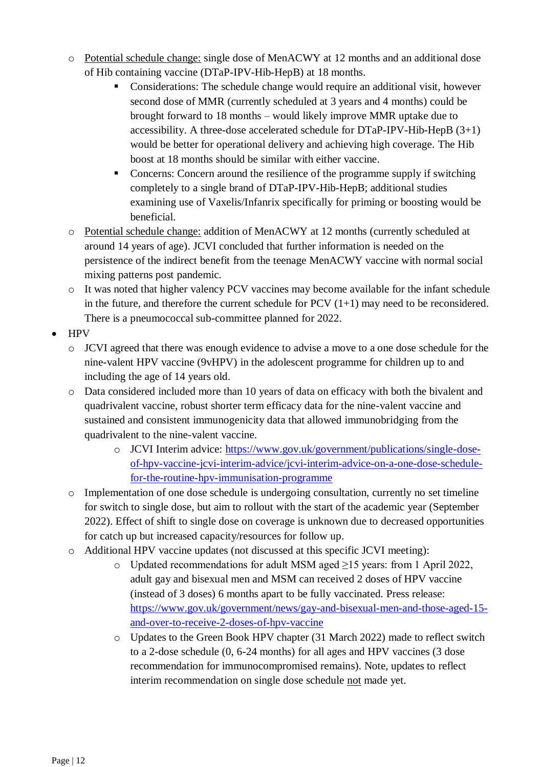- o Potential schedule change: single dose of MenACWY at 12 months and an additional dose of Hib containing vaccine (DTaP-IPV-Hib-HepB) at 18 months.
	- Considerations: The schedule change would require an additional visit, however second dose of MMR (currently scheduled at 3 years and 4 months) could be brought forward to 18 months – would likely improve MMR uptake due to accessibility. A three-dose accelerated schedule for DTaP-IPV-Hib-HepB (3+1) would be better for operational delivery and achieving high coverage. The Hib boost at 18 months should be similar with either vaccine.
	- Concerns: Concern around the resilience of the programme supply if switching completely to a single brand of DTaP-IPV-Hib-HepB; additional studies examining use of Vaxelis/Infanrix specifically for priming or boosting would be beneficial.
- o Potential schedule change: addition of MenACWY at 12 months (currently scheduled at around 14 years of age). JCVI concluded that further information is needed on the persistence of the indirect benefit from the teenage MenACWY vaccine with normal social mixing patterns post pandemic.
- o It was noted that higher valency PCV vaccines may become available for the infant schedule in the future, and therefore the current schedule for PCV  $(1+1)$  may need to be reconsidered. There is a pneumococcal sub-committee planned for 2022.
- HPV
	- o JCVI agreed that there was enough evidence to advise a move to a one dose schedule for the nine-valent HPV vaccine (9vHPV) in the adolescent programme for children up to and including the age of 14 years old.
	- o Data considered included more than 10 years of data on efficacy with both the bivalent and quadrivalent vaccine, robust shorter term efficacy data for the nine-valent vaccine and sustained and consistent immunogenicity data that allowed immunobridging from the quadrivalent to the nine-valent vaccine.
		- o JCVI Interim advice: [https://www.gov.uk/government/publications/single-dose](https://www.gov.uk/government/publications/single-dose-of-hpv-vaccine-jcvi-interim-advice/jcvi-interim-advice-on-a-one-dose-schedule-for-the-routine-hpv-immunisation-programme)[of-hpv-vaccine-jcvi-interim-advice/jcvi-interim-advice-on-a-one-dose-schedule](https://www.gov.uk/government/publications/single-dose-of-hpv-vaccine-jcvi-interim-advice/jcvi-interim-advice-on-a-one-dose-schedule-for-the-routine-hpv-immunisation-programme)[for-the-routine-hpv-immunisation-programme](https://www.gov.uk/government/publications/single-dose-of-hpv-vaccine-jcvi-interim-advice/jcvi-interim-advice-on-a-one-dose-schedule-for-the-routine-hpv-immunisation-programme)
	- o Implementation of one dose schedule is undergoing consultation, currently no set timeline for switch to single dose, but aim to rollout with the start of the academic year (September 2022). Effect of shift to single dose on coverage is unknown due to decreased opportunities for catch up but increased capacity/resources for follow up.
	- o Additional HPV vaccine updates (not discussed at this specific JCVI meeting):
		- o Updated recommendations for adult MSM aged ≥15 years: from 1 April 2022, adult gay and bisexual men and MSM can received 2 doses of HPV vaccine (instead of 3 doses) 6 months apart to be fully vaccinated. Press release: [https://www.gov.uk/government/news/gay-and-bisexual-men-and-those-aged-15](https://www.gov.uk/government/news/gay-and-bisexual-men-and-those-aged-15-and-over-to-receive-2-doses-of-hpv-vaccine) [and-over-to-receive-2-doses-of-hpv-vaccine](https://www.gov.uk/government/news/gay-and-bisexual-men-and-those-aged-15-and-over-to-receive-2-doses-of-hpv-vaccine)
		- o Updates to the Green Book HPV chapter (31 March 2022) made to reflect switch to a 2-dose schedule (0, 6-24 months) for all ages and HPV vaccines (3 dose recommendation for immunocompromised remains). Note, updates to reflect interim recommendation on single dose schedule not made yet.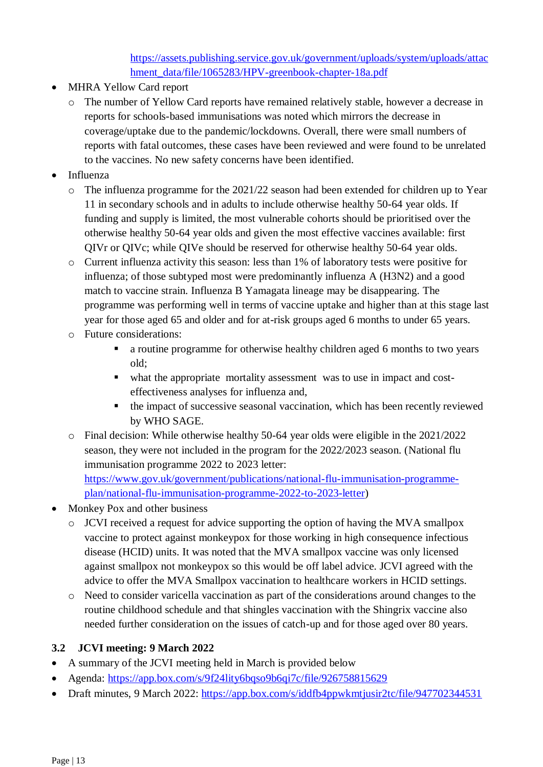[https://assets.publishing.service.gov.uk/government/uploads/system/uploads/attac](https://assets.publishing.service.gov.uk/government/uploads/system/uploads/attachment_data/file/1065283/HPV-greenbook-chapter-18a.pdf) [hment\\_data/file/1065283/HPV-greenbook-chapter-18a.pdf](https://assets.publishing.service.gov.uk/government/uploads/system/uploads/attachment_data/file/1065283/HPV-greenbook-chapter-18a.pdf)

- MHRA Yellow Card report
	- o The number of Yellow Card reports have remained relatively stable, however a decrease in reports for schools-based immunisations was noted which mirrors the decrease in coverage/uptake due to the pandemic/lockdowns. Overall, there were small numbers of reports with fatal outcomes, these cases have been reviewed and were found to be unrelated to the vaccines. No new safety concerns have been identified.
- Influenza
	- o The influenza programme for the 2021/22 season had been extended for children up to Year 11 in secondary schools and in adults to include otherwise healthy 50-64 year olds. If funding and supply is limited, the most vulnerable cohorts should be prioritised over the otherwise healthy 50-64 year olds and given the most effective vaccines available: first QIVr or QIVc; while QIVe should be reserved for otherwise healthy 50-64 year olds.
	- o Current influenza activity this season: less than 1% of laboratory tests were positive for influenza; of those subtyped most were predominantly influenza A (H3N2) and a good match to vaccine strain. Influenza B Yamagata lineage may be disappearing. The programme was performing well in terms of vaccine uptake and higher than at this stage last year for those aged 65 and older and for at-risk groups aged 6 months to under 65 years.
	- o Future considerations:
		- a routine programme for otherwise healthy children aged 6 months to two years old;
		- what the appropriate mortality assessment was to use in impact and costeffectiveness analyses for influenza and,
		- the impact of successive seasonal vaccination, which has been recently reviewed by WHO SAGE.
	- o Final decision: While otherwise healthy 50-64 year olds were eligible in the 2021/2022 season, they were not included in the program for the 2022/2023 season. (National flu immunisation programme 2022 to 2023 letter: [https://www.gov.uk/government/publications/national-flu-immunisation-programme](https://www.gov.uk/government/publications/national-flu-immunisation-programme-plan/national-flu-immunisation-programme-2022-to-2023-letter)[plan/national-flu-immunisation-programme-2022-to-2023-letter\)](https://www.gov.uk/government/publications/national-flu-immunisation-programme-plan/national-flu-immunisation-programme-2022-to-2023-letter)
- Monkey Pox and other business
	- o JCVI received a request for advice supporting the option of having the MVA smallpox vaccine to protect against monkeypox for those working in high consequence infectious disease (HCID) units. It was noted that the MVA smallpox vaccine was only licensed against smallpox not monkeypox so this would be off label advice. JCVI agreed with the advice to offer the MVA Smallpox vaccination to healthcare workers in HCID settings.
	- o Need to consider varicella vaccination as part of the considerations around changes to the routine childhood schedule and that shingles vaccination with the Shingrix vaccine also needed further consideration on the issues of catch-up and for those aged over 80 years.

## <span id="page-12-0"></span>**3.2 JCVI meeting: 9 March 2022**

- A summary of the JCVI meeting held in March is provided below
- Agenda: <https://app.box.com/s/9f24lity6bqso9b6qi7c/file/926758815629>
- Draft minutes, 9 March 2022: <https://app.box.com/s/iddfb4ppwkmtjusir2tc/file/947702344531>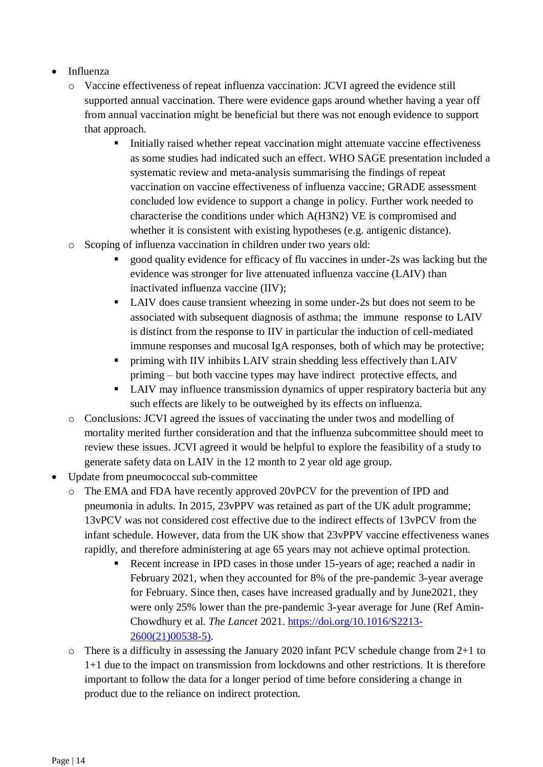- Influenza
	- o Vaccine effectiveness of repeat influenza vaccination: JCVI agreed the evidence still supported annual vaccination. There were evidence gaps around whether having a year off from annual vaccination might be beneficial but there was not enough evidence to support that approach.
		- Initially raised whether repeat vaccination might attenuate vaccine effectiveness as some studies had indicated such an effect. WHO SAGE presentation included a systematic review and meta-analysis summarising the findings of repeat vaccination on vaccine effectiveness of influenza vaccine; GRADE assessment concluded low evidence to support a change in policy. Further work needed to characterise the conditions under which A(H3N2) VE is compromised and whether it is consistent with existing hypotheses (e.g. antigenic distance).
	- o Scoping of influenza vaccination in children under two years old:
		- good quality evidence for efficacy of flu vaccines in under-2s was lacking but the evidence was stronger for live attenuated influenza vaccine (LAIV) than inactivated influenza vaccine (IIV);
		- LAIV does cause transient wheezing in some under-2s but does not seem to be associated with subsequent diagnosis of asthma; the immune response to LAIV is distinct from the response to IIV in particular the induction of cell-mediated immune responses and mucosal IgA responses, both of which may be protective;
		- **Periming with IIV inhibits LAIV strain shedding less effectively than LAIV** priming – but both vaccine types may have indirect protective effects, and
		- LAIV may influence transmission dynamics of upper respiratory bacteria but any such effects are likely to be outweighed by its effects on influenza.
	- o Conclusions: JCVI agreed the issues of vaccinating the under twos and modelling of mortality merited further consideration and that the influenza subcommittee should meet to review these issues. JCVI agreed it would be helpful to explore the feasibility of a study to generate safety data on LAIV in the 12 month to 2 year old age group.
- Update from pneumococcal sub-committee
	- o The EMA and FDA have recently approved 20vPCV for the prevention of IPD and pneumonia in adults. In 2015, 23vPPV was retained as part of the UK adult programme; 13vPCV was not considered cost effective due to the indirect effects of 13vPCV from the infant schedule. However, data from the UK show that 23vPPV vaccine effectiveness wanes rapidly, and therefore administering at age 65 years may not achieve optimal protection.
		- Recent increase in IPD cases in those under 15-years of age; reached a nadir in February 2021, when they accounted for 8% of the pre-pandemic 3-year average for February. Since then, cases have increased gradually and by June2021, they were only 25% lower than the pre-pandemic 3-year average for June (Ref Amin-Chowdhury et al. *The Lancet* 2021. [https://doi.org/10.1016/S2213-](https://doi.org/10.1016/S2213-2600(21)00538-5)) [2600\(21\)00538-5\).](https://doi.org/10.1016/S2213-2600(21)00538-5))
	- o There is a difficulty in assessing the January 2020 infant PCV schedule change from 2+1 to 1+1 due to the impact on transmission from lockdowns and other restrictions. It is therefore important to follow the data for a longer period of time before considering a change in product due to the reliance on indirect protection.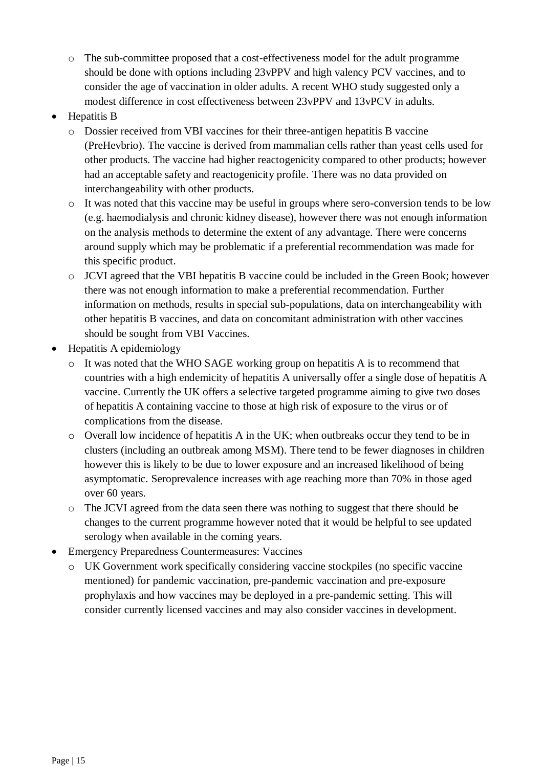- o The sub-committee proposed that a cost-effectiveness model for the adult programme should be done with options including 23vPPV and high valency PCV vaccines, and to consider the age of vaccination in older adults. A recent WHO study suggested only a modest difference in cost effectiveness between 23vPPV and 13vPCV in adults.
- Hepatitis B
	- o Dossier received from VBI vaccines for their three-antigen hepatitis B vaccine (PreHevbrio). The vaccine is derived from mammalian cells rather than yeast cells used for other products. The vaccine had higher reactogenicity compared to other products; however had an acceptable safety and reactogenicity profile. There was no data provided on interchangeability with other products.
	- o It was noted that this vaccine may be useful in groups where sero-conversion tends to be low (e.g. haemodialysis and chronic kidney disease), however there was not enough information on the analysis methods to determine the extent of any advantage. There were concerns around supply which may be problematic if a preferential recommendation was made for this specific product.
	- o JCVI agreed that the VBI hepatitis B vaccine could be included in the Green Book; however there was not enough information to make a preferential recommendation. Further information on methods, results in special sub-populations, data on interchangeability with other hepatitis B vaccines, and data on concomitant administration with other vaccines should be sought from VBI Vaccines.
- Hepatitis A epidemiology
	- o It was noted that the WHO SAGE working group on hepatitis A is to recommend that countries with a high endemicity of hepatitis A universally offer a single dose of hepatitis A vaccine. Currently the UK offers a selective targeted programme aiming to give two doses of hepatitis A containing vaccine to those at high risk of exposure to the virus or of complications from the disease.
	- o Overall low incidence of hepatitis A in the UK; when outbreaks occur they tend to be in clusters (including an outbreak among MSM). There tend to be fewer diagnoses in children however this is likely to be due to lower exposure and an increased likelihood of being asymptomatic. Seroprevalence increases with age reaching more than 70% in those aged over 60 years.
	- o The JCVI agreed from the data seen there was nothing to suggest that there should be changes to the current programme however noted that it would be helpful to see updated serology when available in the coming years.
- Emergency Preparedness Countermeasures: Vaccines
	- o UK Government work specifically considering vaccine stockpiles (no specific vaccine mentioned) for pandemic vaccination, pre-pandemic vaccination and pre-exposure prophylaxis and how vaccines may be deployed in a pre-pandemic setting. This will consider currently licensed vaccines and may also consider vaccines in development.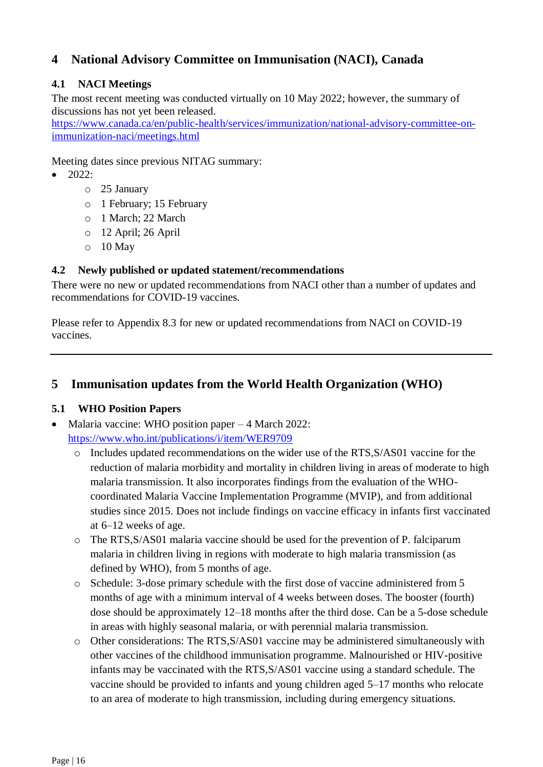# <span id="page-15-0"></span>**4 National Advisory Committee on Immunisation (NACI), Canada**

## <span id="page-15-1"></span>**4.1 NACI Meetings**

The most recent meeting was conducted virtually on 10 May 2022; however, the summary of discussions has not yet been released.

[https://www.canada.ca/en/public-health/services/immunization/national-advisory-committee-on](https://www.canada.ca/en/public-health/services/immunization/national-advisory-committee-on-immunization-naci/meetings.html)[immunization-naci/meetings.html](https://www.canada.ca/en/public-health/services/immunization/national-advisory-committee-on-immunization-naci/meetings.html)

Meeting dates since previous NITAG summary:

- $\bullet$  2022:
	- o 25 January
	- o 1 February; 15 February
	- o 1 March; 22 March
	- o 12 April; 26 April
	- $\circ$  10 May

### <span id="page-15-2"></span>**4.2 Newly published or updated statement/recommendations**

There were no new or updated recommendations from NACI other than a number of updates and recommendations for COVID-19 vaccines.

Please refer to Appendix 8.3 for new or updated recommendations from NACI on COVID-19 vaccines.

## <span id="page-15-3"></span>**5 Immunisation updates from the World Health Organization (WHO)**

## <span id="page-15-4"></span>**5.1 WHO Position Papers**

- Malaria vaccine: WHO position paper 4 March 2022: <https://www.who.int/publications/i/item/WER9709>
	- o Includes updated recommendations on the wider use of the RTS,S/AS01 vaccine for the reduction of malaria morbidity and mortality in children living in areas of moderate to high malaria transmission. It also incorporates findings from the evaluation of the WHOcoordinated Malaria Vaccine Implementation Programme (MVIP), and from additional studies since 2015. Does not include findings on vaccine efficacy in infants first vaccinated at 6–12 weeks of age.
	- o The RTS,S/AS01 malaria vaccine should be used for the prevention of P. falciparum malaria in children living in regions with moderate to high malaria transmission (as defined by WHO), from 5 months of age.
	- o Schedule: 3-dose primary schedule with the first dose of vaccine administered from 5 months of age with a minimum interval of 4 weeks between doses. The booster (fourth) dose should be approximately 12–18 months after the third dose. Can be a 5-dose schedule in areas with highly seasonal malaria, or with perennial malaria transmission.
	- o Other considerations: The RTS,S/AS01 vaccine may be administered simultaneously with other vaccines of the childhood immunisation programme. Malnourished or HIV-positive infants may be vaccinated with the RTS,S/AS01 vaccine using a standard schedule. The vaccine should be provided to infants and young children aged 5–17 months who relocate to an area of moderate to high transmission, including during emergency situations.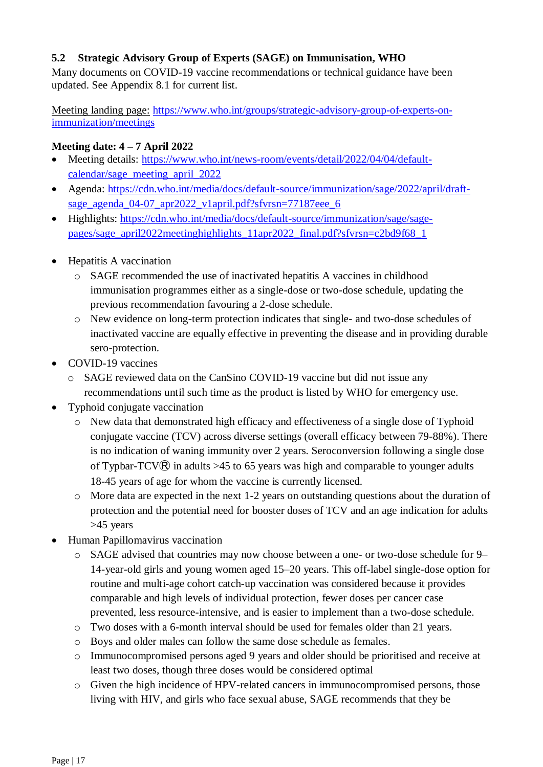### <span id="page-16-0"></span>**5.2 Strategic Advisory Group of Experts (SAGE) on Immunisation, WHO**

Many documents on COVID-19 vaccine recommendations or technical guidance have been updated. See Appendix 8.1 for current list.

Meeting landing page: [https://www.who.int/groups/strategic-advisory-group-of-experts-on](https://www.who.int/groups/strategic-advisory-group-of-experts-on-immunization/meetings)[immunization/meetings](https://www.who.int/groups/strategic-advisory-group-of-experts-on-immunization/meetings)

#### **Meeting date: 4 – 7 April 2022**

- Meeting details: [https://www.who.int/news-room/events/detail/2022/04/04/default](https://www.who.int/news-room/events/detail/2022/04/04/default-calendar/sage_meeting_april_2022)[calendar/sage\\_meeting\\_april\\_2022](https://www.who.int/news-room/events/detail/2022/04/04/default-calendar/sage_meeting_april_2022)
- Agenda: [https://cdn.who.int/media/docs/default-source/immunization/sage/2022/april/draft](https://cdn.who.int/media/docs/default-source/immunization/sage/2022/april/draft-sage_agenda_04-07_apr2022_v1april.pdf?sfvrsn=77187eee_6)[sage\\_agenda\\_04-07\\_apr2022\\_v1april.pdf?sfvrsn=77187eee\\_6](https://cdn.who.int/media/docs/default-source/immunization/sage/2022/april/draft-sage_agenda_04-07_apr2022_v1april.pdf?sfvrsn=77187eee_6)
- Highlights: [https://cdn.who.int/media/docs/default-source/immunization/sage/sage](https://cdn.who.int/media/docs/default-source/immunization/sage/sage-pages/sage_april2022meetinghighlights_11apr2022_final.pdf?sfvrsn=c2bd9f68_1)[pages/sage\\_april2022meetinghighlights\\_11apr2022\\_final.pdf?sfvrsn=c2bd9f68\\_1](https://cdn.who.int/media/docs/default-source/immunization/sage/sage-pages/sage_april2022meetinghighlights_11apr2022_final.pdf?sfvrsn=c2bd9f68_1)
- Hepatitis A vaccination
	- o SAGE recommended the use of inactivated hepatitis A vaccines in childhood immunisation programmes either as a single-dose or two-dose schedule, updating the previous recommendation favouring a 2-dose schedule.
	- o New evidence on long-term protection indicates that single- and two-dose schedules of inactivated vaccine are equally effective in preventing the disease and in providing durable sero-protection.
- COVID-19 vaccines
	- o SAGE reviewed data on the CanSino COVID-19 vaccine but did not issue any recommendations until such time as the product is listed by WHO for emergency use.
- Typhoid conjugate vaccination
	- o New data that demonstrated high efficacy and effectiveness of a single dose of Typhoid conjugate vaccine (TCV) across diverse settings (overall efficacy between 79-88%). There is no indication of waning immunity over 2 years. Seroconversion following a single dose of Typbar-TCV $\widehat{R}$  in adults >45 to 65 years was high and comparable to younger adults 18-45 years of age for whom the vaccine is currently licensed.
	- $\circ$  More data are expected in the next 1-2 years on outstanding questions about the duration of protection and the potential need for booster doses of TCV and an age indication for adults >45 years
- Human Papillomavirus vaccination
	- o SAGE advised that countries may now choose between a one- or two-dose schedule for 9– 14-year-old girls and young women aged 15–20 years. This off-label single-dose option for routine and multi-age cohort catch-up vaccination was considered because it provides comparable and high levels of individual protection, fewer doses per cancer case prevented, less resource-intensive, and is easier to implement than a two-dose schedule.
	- o Two doses with a 6-month interval should be used for females older than 21 years.
	- o Boys and older males can follow the same dose schedule as females.
	- o Immunocompromised persons aged 9 years and older should be prioritised and receive at least two doses, though three doses would be considered optimal
	- o Given the high incidence of HPV-related cancers in immunocompromised persons, those living with HIV, and girls who face sexual abuse, SAGE recommends that they be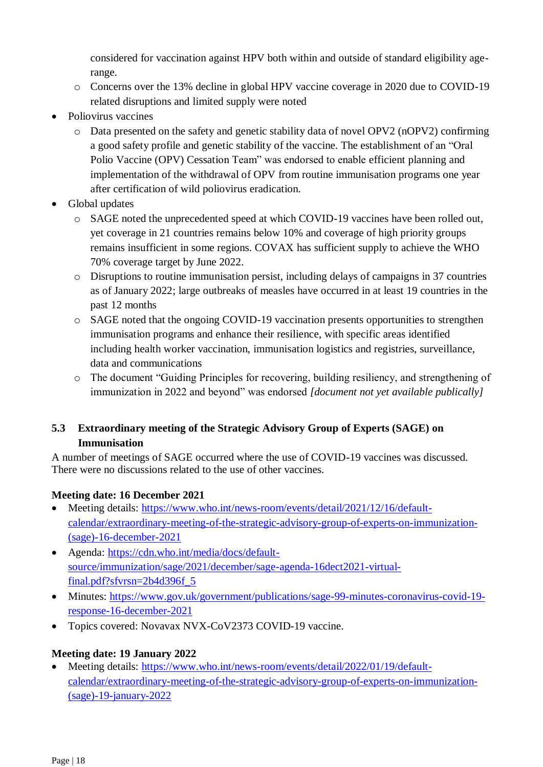considered for vaccination against HPV both within and outside of standard eligibility agerange.

- o Concerns over the 13% decline in global HPV vaccine coverage in 2020 due to COVID-19 related disruptions and limited supply were noted
- Poliovirus vaccines
	- o Data presented on the safety and genetic stability data of novel OPV2 (nOPV2) confirming a good safety profile and genetic stability of the vaccine. The establishment of an "Oral Polio Vaccine (OPV) Cessation Team" was endorsed to enable efficient planning and implementation of the withdrawal of OPV from routine immunisation programs one year after certification of wild poliovirus eradication.
- Global updates
	- o SAGE noted the unprecedented speed at which COVID-19 vaccines have been rolled out, yet coverage in 21 countries remains below 10% and coverage of high priority groups remains insufficient in some regions. COVAX has sufficient supply to achieve the WHO 70% coverage target by June 2022.
	- o Disruptions to routine immunisation persist, including delays of campaigns in 37 countries as of January 2022; large outbreaks of measles have occurred in at least 19 countries in the past 12 months
	- o SAGE noted that the ongoing COVID-19 vaccination presents opportunities to strengthen immunisation programs and enhance their resilience, with specific areas identified including health worker vaccination, immunisation logistics and registries, surveillance, data and communications
	- o The document "Guiding Principles for recovering, building resiliency, and strengthening of immunization in 2022 and beyond" was endorsed *[document not yet available publically]*

## <span id="page-17-0"></span>**5.3 Extraordinary meeting of the Strategic Advisory Group of Experts (SAGE) on Immunisation**

A number of meetings of SAGE occurred where the use of COVID-19 vaccines was discussed. There were no discussions related to the use of other vaccines.

## **Meeting date: 16 December 2021**

- Meeting details: [https://www.who.int/news-room/events/detail/2021/12/16/default](https://www.who.int/news-room/events/detail/2021/12/16/default-calendar/extraordinary-meeting-of-the-strategic-advisory-group-of-experts-on-immunization-(sage)-16-december-2021)[calendar/extraordinary-meeting-of-the-strategic-advisory-group-of-experts-on-immunization-](https://www.who.int/news-room/events/detail/2021/12/16/default-calendar/extraordinary-meeting-of-the-strategic-advisory-group-of-experts-on-immunization-(sage)-16-december-2021) [\(sage\)-16-december-2021](https://www.who.int/news-room/events/detail/2021/12/16/default-calendar/extraordinary-meeting-of-the-strategic-advisory-group-of-experts-on-immunization-(sage)-16-december-2021)
- Agenda: [https://cdn.who.int/media/docs/default](https://cdn.who.int/media/docs/default-source/immunization/sage/2021/december/sage-agenda-16dect2021-virtual-final.pdf?sfvrsn=2b4d396f_5)[source/immunization/sage/2021/december/sage-agenda-16dect2021-virtual](https://cdn.who.int/media/docs/default-source/immunization/sage/2021/december/sage-agenda-16dect2021-virtual-final.pdf?sfvrsn=2b4d396f_5)[final.pdf?sfvrsn=2b4d396f\\_5](https://cdn.who.int/media/docs/default-source/immunization/sage/2021/december/sage-agenda-16dect2021-virtual-final.pdf?sfvrsn=2b4d396f_5)
- Minutes: [https://www.gov.uk/government/publications/sage-99-minutes-coronavirus-covid-19](https://www.gov.uk/government/publications/sage-99-minutes-coronavirus-covid-19-response-16-december-2021) [response-16-december-2021](https://www.gov.uk/government/publications/sage-99-minutes-coronavirus-covid-19-response-16-december-2021)
- Topics covered: Novavax NVX-CoV2373 COVID-19 vaccine.

## **Meeting date: 19 January 2022**

• Meeting details: [https://www.who.int/news-room/events/detail/2022/01/19/default](https://www.who.int/news-room/events/detail/2022/01/19/default-calendar/extraordinary-meeting-of-the-strategic-advisory-group-of-experts-on-immunization-(sage)-19-january-2022)[calendar/extraordinary-meeting-of-the-strategic-advisory-group-of-experts-on-immunization-](https://www.who.int/news-room/events/detail/2022/01/19/default-calendar/extraordinary-meeting-of-the-strategic-advisory-group-of-experts-on-immunization-(sage)-19-january-2022) [\(sage\)-19-january-2022](https://www.who.int/news-room/events/detail/2022/01/19/default-calendar/extraordinary-meeting-of-the-strategic-advisory-group-of-experts-on-immunization-(sage)-19-january-2022)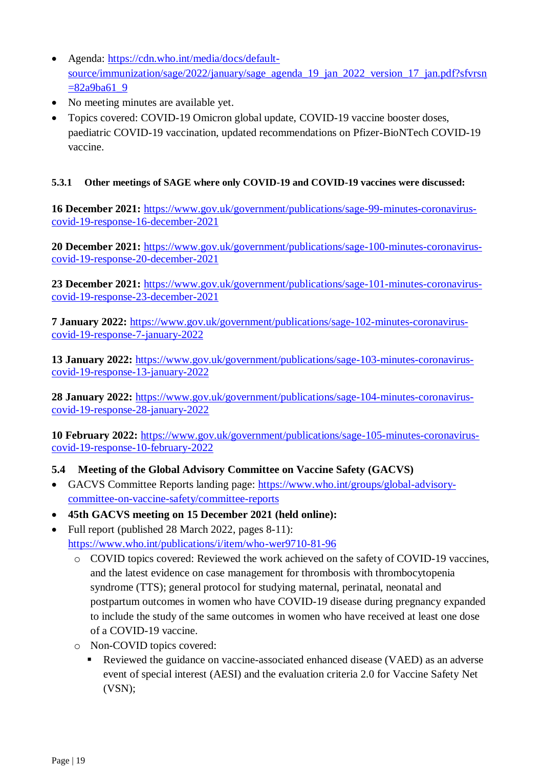- Agenda: [https://cdn.who.int/media/docs/default](https://cdn.who.int/media/docs/default-source/immunization/sage/2022/january/sage_agenda_19_jan_2022_version_17_jan.pdf?sfvrsn=82a9ba61_9)[source/immunization/sage/2022/january/sage\\_agenda\\_19\\_jan\\_2022\\_version\\_17\\_jan.pdf?sfvrsn](https://cdn.who.int/media/docs/default-source/immunization/sage/2022/january/sage_agenda_19_jan_2022_version_17_jan.pdf?sfvrsn=82a9ba61_9)  $=82a9ba619$
- No meeting minutes are available yet.
- Topics covered: COVID-19 Omicron global update, COVID-19 vaccine booster doses, paediatric COVID-19 vaccination, updated recommendations on Pfizer-BioNTech COVID-19 vaccine.

#### **5.3.1 Other meetings of SAGE where only COVID-19 and COVID-19 vaccines were discussed:**

**16 December 2021:** [https://www.gov.uk/government/publications/sage-99-minutes-coronavirus](https://www.gov.uk/government/publications/sage-99-minutes-coronavirus-covid-19-response-16-december-2021)[covid-19-response-16-december-2021](https://www.gov.uk/government/publications/sage-99-minutes-coronavirus-covid-19-response-16-december-2021)

**20 December 2021:** [https://www.gov.uk/government/publications/sage-100-minutes-coronavirus](https://www.gov.uk/government/publications/sage-100-minutes-coronavirus-covid-19-response-20-december-2021)[covid-19-response-20-december-2021](https://www.gov.uk/government/publications/sage-100-minutes-coronavirus-covid-19-response-20-december-2021)

**23 December 2021:** [https://www.gov.uk/government/publications/sage-101-minutes-coronavirus](https://www.gov.uk/government/publications/sage-101-minutes-coronavirus-covid-19-response-23-december-2021)[covid-19-response-23-december-2021](https://www.gov.uk/government/publications/sage-101-minutes-coronavirus-covid-19-response-23-december-2021)

**7 January 2022:** [https://www.gov.uk/government/publications/sage-102-minutes-coronavirus](https://www.gov.uk/government/publications/sage-102-minutes-coronavirus-covid-19-response-7-january-2022)[covid-19-response-7-january-2022](https://www.gov.uk/government/publications/sage-102-minutes-coronavirus-covid-19-response-7-january-2022)

**13 January 2022:** [https://www.gov.uk/government/publications/sage-103-minutes-coronavirus](https://www.gov.uk/government/publications/sage-103-minutes-coronavirus-covid-19-response-13-january-2022)[covid-19-response-13-january-2022](https://www.gov.uk/government/publications/sage-103-minutes-coronavirus-covid-19-response-13-january-2022)

**28 January 2022:** [https://www.gov.uk/government/publications/sage-104-minutes-coronavirus](https://www.gov.uk/government/publications/sage-104-minutes-coronavirus-covid-19-response-28-january-2022)[covid-19-response-28-january-2022](https://www.gov.uk/government/publications/sage-104-minutes-coronavirus-covid-19-response-28-january-2022)

**10 February 2022:** [https://www.gov.uk/government/publications/sage-105-minutes-coronavirus](https://www.gov.uk/government/publications/sage-105-minutes-coronavirus-covid-19-response-10-february-2022)[covid-19-response-10-february-2022](https://www.gov.uk/government/publications/sage-105-minutes-coronavirus-covid-19-response-10-february-2022)

#### <span id="page-18-0"></span>**5.4 Meeting of the Global Advisory Committee on Vaccine Safety (GACVS)**

- GACVS Committee Reports landing page: [https://www.who.int/groups/global-advisory](https://www.who.int/groups/global-advisory-committee-on-vaccine-safety/committee-reports)[committee-on-vaccine-safety/committee-reports](https://www.who.int/groups/global-advisory-committee-on-vaccine-safety/committee-reports)
- **45th GACVS meeting on 15 December 2021 (held online):**
- Full report (published 28 March 2022, pages 8-11): <https://www.who.int/publications/i/item/who-wer9710-81-96>
	- o COVID topics covered: Reviewed the work achieved on the safety of COVID-19 vaccines, and the latest evidence on case management for thrombosis with thrombocytopenia syndrome (TTS); general protocol for studying maternal, perinatal, neonatal and postpartum outcomes in women who have COVID-19 disease during pregnancy expanded to include the study of the same outcomes in women who have received at least one dose of a COVID-19 vaccine.
	- o Non-COVID topics covered:
		- Reviewed the guidance on vaccine-associated enhanced disease (VAED) as an adverse event of special interest (AESI) and the evaluation criteria 2.0 for Vaccine Safety Net (VSN);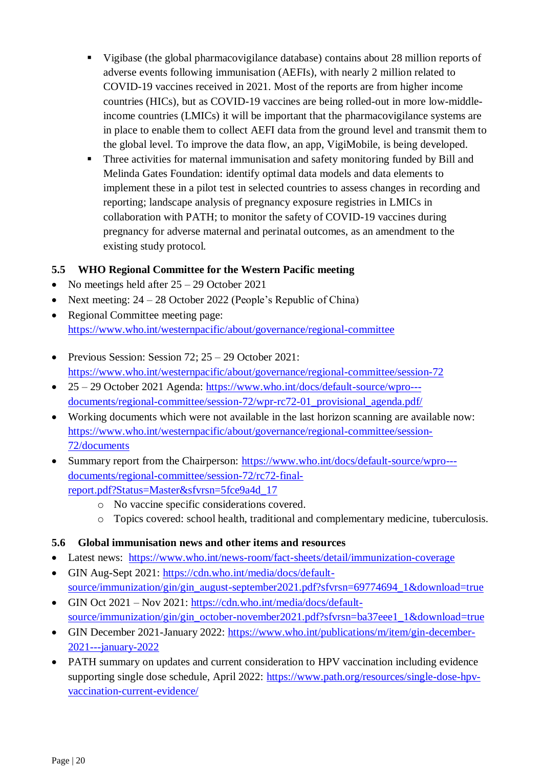- Vigibase (the global pharmacovigilance database) contains about 28 million reports of adverse events following immunisation (AEFIs), with nearly 2 million related to COVID-19 vaccines received in 2021. Most of the reports are from higher income countries (HICs), but as COVID-19 vaccines are being rolled-out in more low-middleincome countries (LMICs) it will be important that the pharmacovigilance systems are in place to enable them to collect AEFI data from the ground level and transmit them to the global level. To improve the data flow, an app, VigiMobile, is being developed.
- **Three activities for maternal immunisation and safety monitoring funded by Bill and** Melinda Gates Foundation: identify optimal data models and data elements to implement these in a pilot test in selected countries to assess changes in recording and reporting; landscape analysis of pregnancy exposure registries in LMICs in collaboration with PATH; to monitor the safety of COVID-19 vaccines during pregnancy for adverse maternal and perinatal outcomes, as an amendment to the existing study protocol.

## <span id="page-19-0"></span>**5.5 WHO Regional Committee for the Western Pacific meeting**

- No meetings held after  $25 29$  October 2021
- Next meeting:  $24 28$  October 2022 (People's Republic of China)
- Regional Committee meeting page: <https://www.who.int/westernpacific/about/governance/regional-committee>
- Previous Session: Session  $72: 25 29$  October  $2021:$ <https://www.who.int/westernpacific/about/governance/regional-committee/session-72>
- 25 29 October 2021 Agenda: [https://www.who.int/docs/default-source/wpro--](https://www.who.int/docs/default-source/wpro---documents/regional-committee/session-72/wpr-rc72-01_provisional_agenda.pdf/) [documents/regional-committee/session-72/wpr-rc72-01\\_provisional\\_agenda.pdf/](https://www.who.int/docs/default-source/wpro---documents/regional-committee/session-72/wpr-rc72-01_provisional_agenda.pdf/)
- Working documents which were not available in the last horizon scanning are available now: [https://www.who.int/westernpacific/about/governance/regional-committee/session-](https://www.who.int/westernpacific/about/governance/regional-committee/session-72/documents)[72/documents](https://www.who.int/westernpacific/about/governance/regional-committee/session-72/documents)
- Summary report from the Chairperson: [https://www.who.int/docs/default-source/wpro--](https://www.who.int/docs/default-source/wpro---documents/regional-committee/session-72/rc72-final-report.pdf?Status=Master&sfvrsn=5fce9a4d_17) [documents/regional-committee/session-72/rc72-final](https://www.who.int/docs/default-source/wpro---documents/regional-committee/session-72/rc72-final-report.pdf?Status=Master&sfvrsn=5fce9a4d_17)[report.pdf?Status=Master&sfvrsn=5fce9a4d\\_17](https://www.who.int/docs/default-source/wpro---documents/regional-committee/session-72/rc72-final-report.pdf?Status=Master&sfvrsn=5fce9a4d_17)
	- o No vaccine specific considerations covered.
	- o Topics covered: school health, traditional and complementary medicine, tuberculosis.

## <span id="page-19-1"></span>**5.6 Global immunisation news and other items and resources**

- Latest news: <https://www.who.int/news-room/fact-sheets/detail/immunization-coverage>
- GIN Aug-Sept 2021: [https://cdn.who.int/media/docs/default](https://cdn.who.int/media/docs/default-source/immunization/gin/gin_august-september2021.pdf?sfvrsn=69774694_1&download=true)[source/immunization/gin/gin\\_august-september2021.pdf?sfvrsn=69774694\\_1&download=true](https://cdn.who.int/media/docs/default-source/immunization/gin/gin_august-september2021.pdf?sfvrsn=69774694_1&download=true)
- GIN Oct 2021 Nov 2021: [https://cdn.who.int/media/docs/default](https://cdn.who.int/media/docs/default-%20source/immunization/gin/gin_october-november2021.pdf?sfvrsn=ba37eee1_1&download=true)[source/immunization/gin/gin\\_october-november2021.pdf?sfvrsn=ba37eee1\\_1&download=true](https://cdn.who.int/media/docs/default-%20source/immunization/gin/gin_october-november2021.pdf?sfvrsn=ba37eee1_1&download=true)
- GIN December 2021-January 2022: [https://www.who.int/publications/m/item/gin-december-](https://www.who.int/publications/m/item/gin-december-2021---january-2022)[2021---january-2022](https://www.who.int/publications/m/item/gin-december-2021---january-2022)
- PATH summary on updates and current consideration to HPV vaccination including evidence supporting single dose schedule, April 2022: [https://www.path.org/resources/single-dose-hpv](https://www.path.org/resources/single-dose-hpv-vaccination-current-evidence/)[vaccination-current-evidence/](https://www.path.org/resources/single-dose-hpv-vaccination-current-evidence/)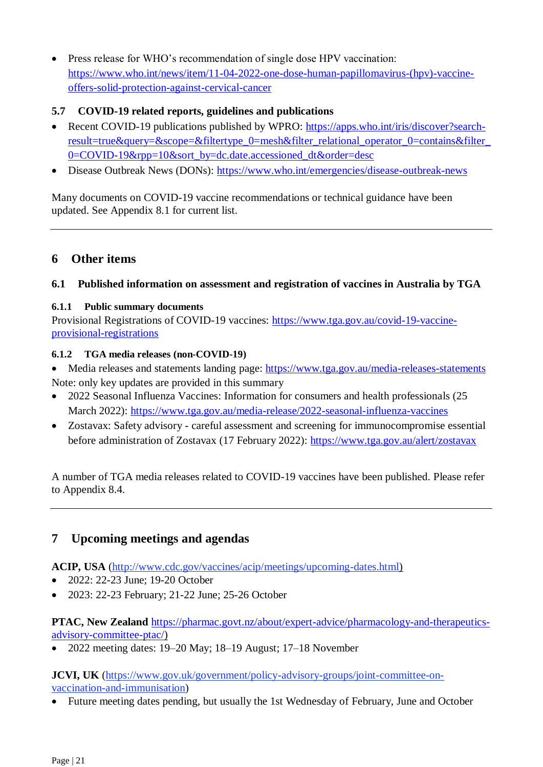Press release for WHO's recommendation of single dose HPV vaccination: [https://www.who.int/news/item/11-04-2022-one-dose-human-papillomavirus-\(hpv\)-vaccine](https://www.who.int/news/item/11-04-2022-one-dose-human-papillomavirus-(hpv)-vaccine-offers-solid-protection-against-cervical-cancer)[offers-solid-protection-against-cervical-cancer](https://www.who.int/news/item/11-04-2022-one-dose-human-papillomavirus-(hpv)-vaccine-offers-solid-protection-against-cervical-cancer)

## <span id="page-20-0"></span>**5.7 COVID-19 related reports, guidelines and publications**

- Recent COVID-19 publications published by WPRO: [https://apps.who.int/iris/discover?search](https://apps.who.int/iris/discover?search-result=true&query=&scope=&filtertype_0=mesh&filter_relational_operator_0=contains&filter_0=COVID-19&rpp=10&sort_by=dc.date.accessioned_dt&order=desc)result=true&query=&scope=&filtertype\_0=mesh&filter\_relational\_operator\_0=contains&filter [0=COVID-19&rpp=10&sort\\_by=dc.date.accessioned\\_dt&order=desc](https://apps.who.int/iris/discover?search-result=true&query=&scope=&filtertype_0=mesh&filter_relational_operator_0=contains&filter_0=COVID-19&rpp=10&sort_by=dc.date.accessioned_dt&order=desc)
- Disease Outbreak News (DONs):<https://www.who.int/emergencies/disease-outbreak-news>

Many documents on COVID-19 vaccine recommendations or technical guidance have been updated. See Appendix 8.1 for current list.

## <span id="page-20-1"></span>**6 Other items**

### <span id="page-20-2"></span>**6.1 Published information on assessment and registration of vaccines in Australia by TGA**

#### **6.1.1 Public summary documents**

Provisional Registrations of COVID-19 vaccines: [https://www.tga.gov.au/covid-19-vaccine](https://www.tga.gov.au/covid-19-vaccine-provisional-registrations)[provisional-registrations](https://www.tga.gov.au/covid-19-vaccine-provisional-registrations)

#### **6.1.2 TGA media releases (non-COVID-19)**

- Media releases and statements landing page: <https://www.tga.gov.au/media-releases-statements> Note: only key updates are provided in this summary
- 2022 Seasonal Influenza Vaccines: Information for consumers and health professionals (25 March 2022):<https://www.tga.gov.au/media-release/2022-seasonal-influenza-vaccines>
- Zostavax: Safety advisory careful assessment and screening for immunocompromise essential before administration of Zostavax (17 February 2022):<https://www.tga.gov.au/alert/zostavax>

A number of TGA media releases related to COVID-19 vaccines have been published. Please refer to Appendix 8.4.

## <span id="page-20-3"></span>**7 Upcoming meetings and agendas**

**ACIP, USA** [\(http://www.cdc.gov/vaccines/acip/meetings/upcoming-dates.html\)](http://www.cdc.gov/vaccines/acip/meetings/upcoming-dates.html)

- 2022: 22-23 June; 19-20 October
- 2023: 22-23 February: 21-22 June: 25-26 October

**PTAC, New Zealand** [https://pharmac.govt.nz/about/expert-advice/pharmacology-and-therapeutics](https://pharmac.govt.nz/about/expert-advice/pharmacology-and-therapeutics-advisory-committee-ptac/)[advisory-committee-ptac/\)](https://pharmac.govt.nz/about/expert-advice/pharmacology-and-therapeutics-advisory-committee-ptac/)

2022 meeting dates: 19–20 May; 18–19 August; 17–18 November

**JCVI, UK** [\(https://www.gov.uk/government/policy-advisory-groups/joint-committee-on](https://www.gov.uk/government/policy-advisory-groups/joint-committee-on-vaccination-and-immunisation)[vaccination-and-immunisation\)](https://www.gov.uk/government/policy-advisory-groups/joint-committee-on-vaccination-and-immunisation)

Future meeting dates pending, but usually the 1st Wednesday of February, June and October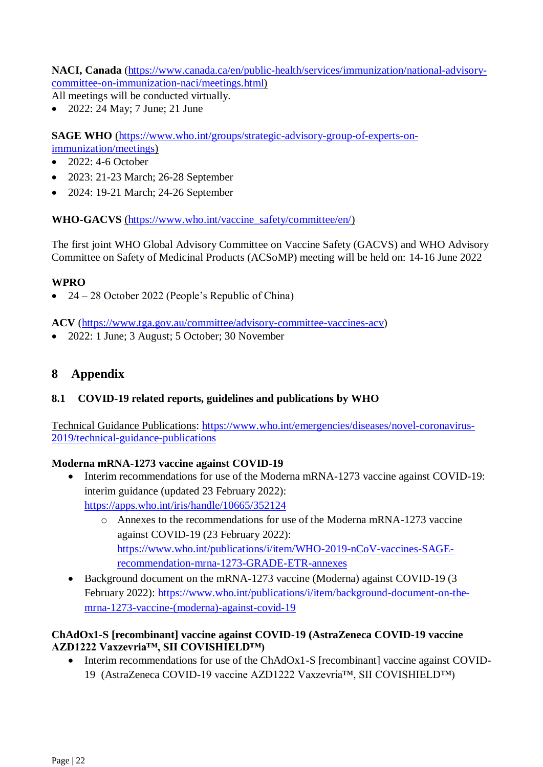**NACI, Canada** [\(https://www.canada.ca/en/public-health/services/immunization/national-advisory](https://www.canada.ca/en/public-health/services/immunization/national-advisory-committee-on-immunization-naci/meetings.html)[committee-on-immunization-naci/meetings.html\)](https://www.canada.ca/en/public-health/services/immunization/national-advisory-committee-on-immunization-naci/meetings.html)

All meetings will be conducted virtually.

2022: 24 May; 7 June; 21 June

**SAGE WHO** [\(https://www.who.int/groups/strategic-advisory-group-of-experts-on](https://www.who.int/groups/strategic-advisory-group-of-experts-on-immunization/meetings)[immunization/meetings\)](https://www.who.int/groups/strategic-advisory-group-of-experts-on-immunization/meetings)

- $\bullet$  2022: 4-6 October
- 2023: 21-23 March; 26-28 September
- 2024: 19-21 March; 24-26 September

**WHO-GACVS** [\(https://www.who.int/vaccine\\_safety/committee/en/\)](https://www.who.int/vaccine_safety/committee/en/)

The first joint WHO Global Advisory Committee on Vaccine Safety (GACVS) and WHO Advisory Committee on Safety of Medicinal Products (ACSoMP) meeting will be held on: 14-16 June 2022

#### **WPRO**

 $\bullet$  24 – 28 October 2022 (People's Republic of China)

**ACV** [\(https://www.tga.gov.au/committee/advisory-committee-vaccines-acv\)](https://www.tga.gov.au/committee/advisory-committee-vaccines-acv)

<span id="page-21-0"></span>• 2022: 1 June; 3 August; 5 October; 30 November

## **8 Appendix**

#### <span id="page-21-1"></span>**8.1 COVID-19 related reports, guidelines and publications by WHO**

Technical Guidance Publications: [https://www.who.int/emergencies/diseases/novel-coronavirus-](https://www.who.int/emergencies/diseases/novel-coronavirus-2019/technical-guidance-publications)[2019/technical-guidance-publications](https://www.who.int/emergencies/diseases/novel-coronavirus-2019/technical-guidance-publications)

#### **Moderna mRNA-1273 vaccine against COVID-19**

- Interim recommendations for use of the Moderna mRNA-1273 vaccine against COVID-19: interim guidance (updated 23 February 2022): <https://apps.who.int/iris/handle/10665/352124>
	- o Annexes to the recommendations for use of the Moderna mRNA-1273 vaccine against COVID-19 (23 February 2022): [https://www.who.int/publications/i/item/WHO-2019-nCoV-vaccines-SAGE](https://www.who.int/publications/i/item/WHO-2019-nCoV-vaccines-SAGE-recommendation-mrna-1273-GRADE-ETR-annexes)[recommendation-mrna-1273-GRADE-ETR-annexes](https://www.who.int/publications/i/item/WHO-2019-nCoV-vaccines-SAGE-recommendation-mrna-1273-GRADE-ETR-annexes)
- Background document on the mRNA-1273 vaccine (Moderna) against COVID-19 (3 February 2022): [https://www.who.int/publications/i/item/background-document-on-the](https://www.who.int/publications/i/item/background-document-on-the-mrna-1273-vaccine-(moderna)-against-covid-19)[mrna-1273-vaccine-\(moderna\)-against-covid-19](https://www.who.int/publications/i/item/background-document-on-the-mrna-1273-vaccine-(moderna)-against-covid-19)

#### **ChAdOx1-S [recombinant] vaccine against COVID-19 (AstraZeneca COVID-19 vaccine AZD1222 Vaxzevria™, SII COVISHIELD™)**

• Interim recommendations for use of the ChAdOx1-S [recombinant] vaccine against COVID-19 (AstraZeneca COVID-19 vaccine AZD1222 Vaxzevria™, SII COVISHIELD™)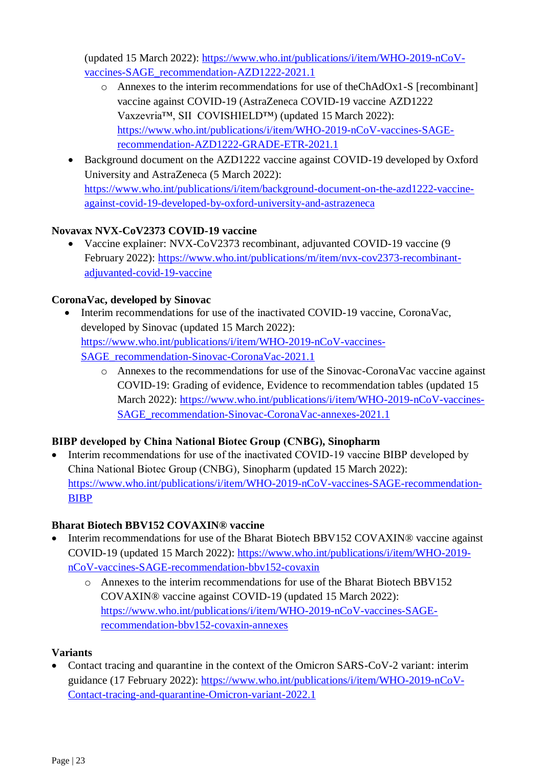(updated 15 March 2022): [https://www.who.int/publications/i/item/WHO-2019-nCoV](https://www.who.int/publications/i/item/WHO-2019-nCoV-vaccines-SAGE_recommendation-AZD1222-2021.1)[vaccines-SAGE\\_recommendation-AZD1222-2021.1](https://www.who.int/publications/i/item/WHO-2019-nCoV-vaccines-SAGE_recommendation-AZD1222-2021.1)

- o Annexes to the interim recommendations for use of theChAdOx1-S [recombinant] vaccine against COVID-19 (AstraZeneca COVID-19 vaccine AZD1222 Vaxzevria™, SII COVISHIELD™) (updated 15 March 2022): [https://www.who.int/publications/i/item/WHO-2019-nCoV-vaccines-SAGE](https://www.who.int/publications/i/item/WHO-2019-nCoV-vaccines-SAGE-recommendation-AZD1222-GRADE-ETR-2021.1)[recommendation-AZD1222-GRADE-ETR-2021.1](https://www.who.int/publications/i/item/WHO-2019-nCoV-vaccines-SAGE-recommendation-AZD1222-GRADE-ETR-2021.1)
- Background document on the AZD1222 vaccine against COVID-19 developed by Oxford University and AstraZeneca (5 March 2022): [https://www.who.int/publications/i/item/background-document-on-the-azd1222-vaccine](https://www.who.int/publications/i/item/background-document-on-the-azd1222-vaccine-against-covid-19-developed-by-oxford-university-and-astrazeneca)[against-covid-19-developed-by-oxford-university-and-astrazeneca](https://www.who.int/publications/i/item/background-document-on-the-azd1222-vaccine-against-covid-19-developed-by-oxford-university-and-astrazeneca)

## **Novavax NVX-CoV2373 COVID-19 vaccine**

 Vaccine explainer: NVX-CoV2373 recombinant, adjuvanted COVID-19 vaccine (9 February 2022): [https://www.who.int/publications/m/item/nvx-cov2373-recombinant](https://www.who.int/publications/m/item/nvx-cov2373-recombinant-adjuvanted-covid-19-vaccine)[adjuvanted-covid-19-vaccine](https://www.who.int/publications/m/item/nvx-cov2373-recombinant-adjuvanted-covid-19-vaccine)

## **CoronaVac, developed by Sinovac**

- Interim recommendations for use of the inactivated COVID-19 vaccine, CoronaVac, developed by Sinovac (updated 15 March 2022): [https://www.who.int/publications/i/item/WHO-2019-nCoV-vaccines-](https://www.who.int/publications/i/item/WHO-2019-nCoV-vaccines-SAGE_recommendation-Sinovac-CoronaVac-2021.1)[SAGE\\_recommendation-Sinovac-CoronaVac-2021.1](https://www.who.int/publications/i/item/WHO-2019-nCoV-vaccines-SAGE_recommendation-Sinovac-CoronaVac-2021.1)
	- o Annexes to the recommendations for use of the Sinovac-CoronaVac vaccine against COVID-19: Grading of evidence, Evidence to recommendation tables (updated 15 March 2022): [https://www.who.int/publications/i/item/WHO-2019-nCoV-vaccines-](https://www.who.int/publications/i/item/WHO-2019-nCoV-vaccines-SAGE_recommendation-Sinovac-CoronaVac-annexes-2021.1)[SAGE\\_recommendation-Sinovac-CoronaVac-annexes-2021.1](https://www.who.int/publications/i/item/WHO-2019-nCoV-vaccines-SAGE_recommendation-Sinovac-CoronaVac-annexes-2021.1)

## **BIBP developed by China National Biotec Group (CNBG), Sinopharm**

• Interim recommendations for use of the inactivated COVID-19 vaccine BIBP developed by China National Biotec Group (CNBG), Sinopharm (updated 15 March 2022): [https://www.who.int/publications/i/item/WHO-2019-nCoV-vaccines-SAGE-recommendation-](https://www.who.int/publications/i/item/WHO-2019-nCoV-vaccines-SAGE-recommendation-BIBP)[BIBP](https://www.who.int/publications/i/item/WHO-2019-nCoV-vaccines-SAGE-recommendation-BIBP)

## **Bharat Biotech BBV152 COVAXIN® vaccine**

- Interim recommendations for use of the Bharat Biotech BBV152 COVAXIN® vaccine against COVID-19 (updated 15 March 2022): [https://www.who.int/publications/i/item/WHO-2019](https://www.who.int/publications/i/item/WHO-2019-nCoV-vaccines-SAGE-recommendation-bbv152-covaxin) [nCoV-vaccines-SAGE-recommendation-bbv152-covaxin](https://www.who.int/publications/i/item/WHO-2019-nCoV-vaccines-SAGE-recommendation-bbv152-covaxin)
	- o Annexes to the interim recommendations for use of the Bharat Biotech BBV152 COVAXIN® vaccine against COVID-19 (updated 15 March 2022): https://www.who.int/publications/i/item/WHO-2019-nCoV-vaccines-SAGErecommendation-bbv152-covaxin-annexes

## **Variants**

• Contact tracing and quarantine in the context of the Omicron SARS-CoV-2 variant: interim guidance (17 February 2022): [https://www.who.int/publications/i/item/WHO-2019-nCoV-](https://www.who.int/publications/i/item/WHO-2019-nCoV-Contact-tracing-and-quarantine-Omicron-variant-2022.1)[Contact-tracing-and-quarantine-Omicron-variant-2022.1](https://www.who.int/publications/i/item/WHO-2019-nCoV-Contact-tracing-and-quarantine-Omicron-variant-2022.1)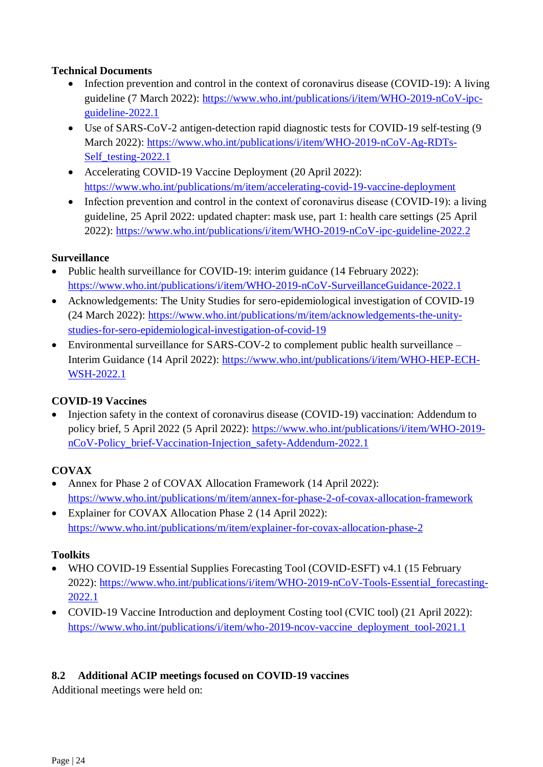## **Technical Documents**

- Infection prevention and control in the context of coronavirus disease (COVID-19): A living guideline (7 March 2022): [https://www.who.int/publications/i/item/WHO-2019-nCoV-ipc](https://www.who.int/publications/i/item/WHO-2019-nCoV-ipc-guideline-2022.1)[guideline-2022.1](https://www.who.int/publications/i/item/WHO-2019-nCoV-ipc-guideline-2022.1)
- Use of SARS-CoV-2 antigen-detection rapid diagnostic tests for COVID-19 self-testing (9 March 2022): [https://www.who.int/publications/i/item/WHO-2019-nCoV-Ag-RDTs-](https://www.who.int/publications/i/item/WHO-2019-nCoV-Ag-RDTs-Self_testing-2022.1)Self testing-2022.1
- Accelerating COVID-19 Vaccine Deployment (20 April 2022): <https://www.who.int/publications/m/item/accelerating-covid-19-vaccine-deployment>
- Infection prevention and control in the context of coronavirus disease (COVID-19): a living guideline, 25 April 2022: updated chapter: mask use, part 1: health care settings (25 April 2022):<https://www.who.int/publications/i/item/WHO-2019-nCoV-ipc-guideline-2022.2>

### **Surveillance**

- Public health surveillance for COVID-19: interim guidance (14 February 2022): <https://www.who.int/publications/i/item/WHO-2019-nCoV-SurveillanceGuidance-2022.1>
- Acknowledgements: The Unity Studies for sero-epidemiological investigation of COVID-19 (24 March 2022): [https://www.who.int/publications/m/item/acknowledgements-the-unity](https://www.who.int/publications/m/item/acknowledgements-the-unity-studies-for-sero-epidemiological-investigation-of-covid-19)[studies-for-sero-epidemiological-investigation-of-covid-19](https://www.who.int/publications/m/item/acknowledgements-the-unity-studies-for-sero-epidemiological-investigation-of-covid-19)
- Environmental surveillance for SARS-COV-2 to complement public health surveillance Interim Guidance (14 April 2022): [https://www.who.int/publications/i/item/WHO-HEP-ECH-](https://www.who.int/publications/i/item/WHO-HEP-ECH-WSH-2022.1)[WSH-2022.1](https://www.who.int/publications/i/item/WHO-HEP-ECH-WSH-2022.1)

## **COVID-19 Vaccines**

• Injection safety in the context of coronavirus disease (COVID-19) vaccination: Addendum to policy brief, 5 April 2022 (5 April 2022): [https://www.who.int/publications/i/item/WHO-2019](https://www.who.int/publications/i/item/WHO-2019-nCoV-Policy_brief-Vaccination-Injection_safety-Addendum-2022.1) [nCoV-Policy\\_brief-Vaccination-Injection\\_safety-Addendum-2022.1](https://www.who.int/publications/i/item/WHO-2019-nCoV-Policy_brief-Vaccination-Injection_safety-Addendum-2022.1)

## **COVAX**

- Annex for Phase 2 of COVAX Allocation Framework (14 April 2022): <https://www.who.int/publications/m/item/annex-for-phase-2-of-covax-allocation-framework>
- Explainer for COVAX Allocation Phase 2 (14 April 2022): <https://www.who.int/publications/m/item/explainer-for-covax-allocation-phase-2>

#### **Toolkits**

- WHO COVID-19 Essential Supplies Forecasting Tool (COVID-ESFT) v4.1 (15 February 2022): https://www.who.int/publications/i/item/WHO-2019-nCoV-Tools-Essential forecasting-[2022.1](https://www.who.int/publications/i/item/WHO-2019-nCoV-Tools-Essential_forecasting-2022.1)
- COVID-19 Vaccine Introduction and deployment Costing tool (CVIC tool) (21 April 2022): [https://www.who.int/publications/i/item/who-2019-ncov-vaccine\\_deployment\\_tool-2021.1](https://www.who.int/publications/i/item/who-2019-ncov-vaccine_deployment_tool-2021.1)

## <span id="page-23-0"></span>**8.2 Additional ACIP meetings focused on COVID-19 vaccines**

Additional meetings were held on: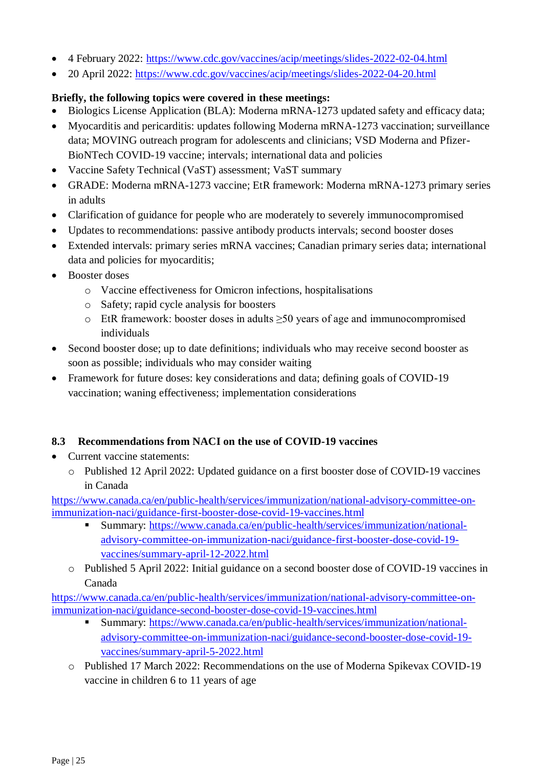- 4 February 2022:<https://www.cdc.gov/vaccines/acip/meetings/slides-2022-02-04.html>
- 20 April 2022:<https://www.cdc.gov/vaccines/acip/meetings/slides-2022-04-20.html>

### **Briefly, the following topics were covered in these meetings:**

- Biologics License Application (BLA): Moderna mRNA-1273 updated safety and efficacy data;
- Myocarditis and pericarditis: updates following Moderna mRNA-1273 vaccination; surveillance data; MOVING outreach program for adolescents and clinicians; VSD Moderna and Pfizer-BioNTech COVID-19 vaccine; intervals; international data and policies
- Vaccine Safety Technical (VaST) assessment; VaST summary
- GRADE: Moderna mRNA-1273 vaccine; EtR framework: Moderna mRNA-1273 primary series in adults
- Clarification of guidance for people who are moderately to severely immunocompromised
- Updates to recommendations: passive antibody products intervals; second booster doses
- Extended intervals: primary series mRNA vaccines; Canadian primary series data; international data and policies for myocarditis;
- Booster doses
	- o Vaccine effectiveness for Omicron infections, hospitalisations
	- o Safety; rapid cycle analysis for boosters
	- o EtR framework: booster doses in adults  $\geq 50$  years of age and immunocompromised individuals
- Second booster dose; up to date definitions; individuals who may receive second booster as soon as possible; individuals who may consider waiting
- Framework for future doses: key considerations and data; defining goals of COVID-19 vaccination; waning effectiveness; implementation considerations

#### <span id="page-24-0"></span>**8.3 Recommendations from NACI on the use of COVID-19 vaccines**

- Current vaccine statements:
	- o Published 12 April 2022: Updated guidance on a first booster dose of COVID-19 vaccines in Canada

[https://www.canada.ca/en/public-health/services/immunization/national-advisory-committee-on](https://www.canada.ca/en/public-health/services/immunization/national-advisory-committee-on-immunization-naci/guidance-first-booster-dose-covid-19-vaccines.html)[immunization-naci/guidance-first-booster-dose-covid-19-vaccines.html](https://www.canada.ca/en/public-health/services/immunization/national-advisory-committee-on-immunization-naci/guidance-first-booster-dose-covid-19-vaccines.html)

- Summary: [https://www.canada.ca/en/public-health/services/immunization/national](https://www.canada.ca/en/public-health/services/immunization/national-advisory-committee-on-immunization-naci/guidance-first-booster-dose-covid-19-vaccines/summary-april-12-2022.html)[advisory-committee-on-immunization-naci/guidance-first-booster-dose-covid-19](https://www.canada.ca/en/public-health/services/immunization/national-advisory-committee-on-immunization-naci/guidance-first-booster-dose-covid-19-vaccines/summary-april-12-2022.html) [vaccines/summary-april-12-2022.html](https://www.canada.ca/en/public-health/services/immunization/national-advisory-committee-on-immunization-naci/guidance-first-booster-dose-covid-19-vaccines/summary-april-12-2022.html)
- o Published 5 April 2022: Initial guidance on a second booster dose of COVID-19 vaccines in Canada

[https://www.canada.ca/en/public-health/services/immunization/national-advisory-committee-on](https://www.canada.ca/en/public-health/services/immunization/national-advisory-committee-on-immunization-naci/guidance-second-booster-dose-covid-19-vaccines.html)[immunization-naci/guidance-second-booster-dose-covid-19-vaccines.html](https://www.canada.ca/en/public-health/services/immunization/national-advisory-committee-on-immunization-naci/guidance-second-booster-dose-covid-19-vaccines.html)

- Summary: [https://www.canada.ca/en/public-health/services/immunization/national](https://www.canada.ca/en/public-health/services/immunization/national-advisory-committee-on-immunization-naci/guidance-second-booster-dose-covid-19-vaccines/summary-april-5-2022.html)[advisory-committee-on-immunization-naci/guidance-second-booster-dose-covid-19](https://www.canada.ca/en/public-health/services/immunization/national-advisory-committee-on-immunization-naci/guidance-second-booster-dose-covid-19-vaccines/summary-april-5-2022.html) [vaccines/summary-april-5-2022.html](https://www.canada.ca/en/public-health/services/immunization/national-advisory-committee-on-immunization-naci/guidance-second-booster-dose-covid-19-vaccines/summary-april-5-2022.html)
- o Published 17 March 2022: Recommendations on the use of Moderna Spikevax COVID-19 vaccine in children 6 to 11 years of age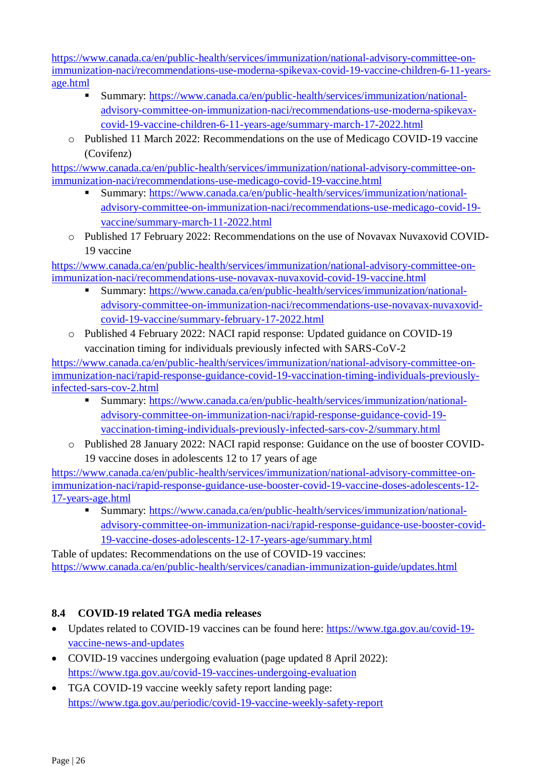[https://www.canada.ca/en/public-health/services/immunization/national-advisory-committee-on](https://www.canada.ca/en/public-health/services/immunization/national-advisory-committee-on-immunization-naci/recommendations-use-moderna-spikevax-covid-19-vaccine-children-6-11-years-age.html)[immunization-naci/recommendations-use-moderna-spikevax-covid-19-vaccine-children-6-11-years](https://www.canada.ca/en/public-health/services/immunization/national-advisory-committee-on-immunization-naci/recommendations-use-moderna-spikevax-covid-19-vaccine-children-6-11-years-age.html)[age.html](https://www.canada.ca/en/public-health/services/immunization/national-advisory-committee-on-immunization-naci/recommendations-use-moderna-spikevax-covid-19-vaccine-children-6-11-years-age.html)

- Summary: [https://www.canada.ca/en/public-health/services/immunization/national](https://www.canada.ca/en/public-health/services/immunization/national-advisory-committee-on-immunization-naci/recommendations-use-moderna-spikevax-covid-19-vaccine-children-6-11-years-age/summary-march-17-2022.html)[advisory-committee-on-immunization-naci/recommendations-use-moderna-spikevax](https://www.canada.ca/en/public-health/services/immunization/national-advisory-committee-on-immunization-naci/recommendations-use-moderna-spikevax-covid-19-vaccine-children-6-11-years-age/summary-march-17-2022.html)[covid-19-vaccine-children-6-11-years-age/summary-march-17-2022.html](https://www.canada.ca/en/public-health/services/immunization/national-advisory-committee-on-immunization-naci/recommendations-use-moderna-spikevax-covid-19-vaccine-children-6-11-years-age/summary-march-17-2022.html)
- o Published 11 March 2022: Recommendations on the use of Medicago COVID-19 vaccine (Covifenz)

[https://www.canada.ca/en/public-health/services/immunization/national-advisory-committee-on](https://www.canada.ca/en/public-health/services/immunization/national-advisory-committee-on-immunization-naci/recommendations-use-medicago-covid-19-vaccine.html)[immunization-naci/recommendations-use-medicago-covid-19-vaccine.html](https://www.canada.ca/en/public-health/services/immunization/national-advisory-committee-on-immunization-naci/recommendations-use-medicago-covid-19-vaccine.html)

- Summary: [https://www.canada.ca/en/public-health/services/immunization/national](https://www.canada.ca/en/public-health/services/immunization/national-advisory-committee-on-immunization-naci/recommendations-use-medicago-covid-19-vaccine/summary-march-11-2022.html)[advisory-committee-on-immunization-naci/recommendations-use-medicago-covid-19](https://www.canada.ca/en/public-health/services/immunization/national-advisory-committee-on-immunization-naci/recommendations-use-medicago-covid-19-vaccine/summary-march-11-2022.html) [vaccine/summary-march-11-2022.html](https://www.canada.ca/en/public-health/services/immunization/national-advisory-committee-on-immunization-naci/recommendations-use-medicago-covid-19-vaccine/summary-march-11-2022.html)
- o Published 17 February 2022: Recommendations on the use of Novavax Nuvaxovid COVID-19 vaccine

[https://www.canada.ca/en/public-health/services/immunization/national-advisory-committee-on](https://www.canada.ca/en/public-health/services/immunization/national-advisory-committee-on-immunization-naci/recommendations-use-novavax-nuvaxovid-covid-19-vaccine.html)[immunization-naci/recommendations-use-novavax-nuvaxovid-covid-19-vaccine.html](https://www.canada.ca/en/public-health/services/immunization/national-advisory-committee-on-immunization-naci/recommendations-use-novavax-nuvaxovid-covid-19-vaccine.html)

- Summary: [https://www.canada.ca/en/public-health/services/immunization/national](https://www.canada.ca/en/public-health/services/immunization/national-advisory-committee-on-immunization-naci/recommendations-use-novavax-nuvaxovid-covid-19-vaccine/summary-february-17-2022.html)[advisory-committee-on-immunization-naci/recommendations-use-novavax-nuvaxovid](https://www.canada.ca/en/public-health/services/immunization/national-advisory-committee-on-immunization-naci/recommendations-use-novavax-nuvaxovid-covid-19-vaccine/summary-february-17-2022.html)[covid-19-vaccine/summary-february-17-2022.html](https://www.canada.ca/en/public-health/services/immunization/national-advisory-committee-on-immunization-naci/recommendations-use-novavax-nuvaxovid-covid-19-vaccine/summary-february-17-2022.html)
- o Published 4 February 2022: NACI rapid response: Updated guidance on COVID-19 vaccination timing for individuals previously infected with SARS-CoV-2

[https://www.canada.ca/en/public-health/services/immunization/national-advisory-committee-on](https://www.canada.ca/en/public-health/services/immunization/national-advisory-committee-on-immunization-naci/rapid-response-guidance-covid-19-vaccination-timing-individuals-previously-infected-sars-cov-2.html)[immunization-naci/rapid-response-guidance-covid-19-vaccination-timing-individuals-previously](https://www.canada.ca/en/public-health/services/immunization/national-advisory-committee-on-immunization-naci/rapid-response-guidance-covid-19-vaccination-timing-individuals-previously-infected-sars-cov-2.html)[infected-sars-cov-2.html](https://www.canada.ca/en/public-health/services/immunization/national-advisory-committee-on-immunization-naci/rapid-response-guidance-covid-19-vaccination-timing-individuals-previously-infected-sars-cov-2.html)

- Summary: [https://www.canada.ca/en/public-health/services/immunization/national](https://www.canada.ca/en/public-health/services/immunization/national-advisory-committee-on-immunization-naci/rapid-response-guidance-covid-19-vaccination-timing-individuals-previously-infected-sars-cov-2/summary.html)[advisory-committee-on-immunization-naci/rapid-response-guidance-covid-19](https://www.canada.ca/en/public-health/services/immunization/national-advisory-committee-on-immunization-naci/rapid-response-guidance-covid-19-vaccination-timing-individuals-previously-infected-sars-cov-2/summary.html) [vaccination-timing-individuals-previously-infected-sars-cov-2/summary.html](https://www.canada.ca/en/public-health/services/immunization/national-advisory-committee-on-immunization-naci/rapid-response-guidance-covid-19-vaccination-timing-individuals-previously-infected-sars-cov-2/summary.html)
- o Published 28 January 2022: NACI rapid response: Guidance on the use of booster COVID-19 vaccine doses in adolescents 12 to 17 years of age

[https://www.canada.ca/en/public-health/services/immunization/national-advisory-committee-on](https://www.canada.ca/en/public-health/services/immunization/national-advisory-committee-on-immunization-naci/rapid-response-guidance-use-booster-covid-19-vaccine-doses-adolescents-12-17-years-age.html)[immunization-naci/rapid-response-guidance-use-booster-covid-19-vaccine-doses-adolescents-12-](https://www.canada.ca/en/public-health/services/immunization/national-advisory-committee-on-immunization-naci/rapid-response-guidance-use-booster-covid-19-vaccine-doses-adolescents-12-17-years-age.html) [17-years-age.html](https://www.canada.ca/en/public-health/services/immunization/national-advisory-committee-on-immunization-naci/rapid-response-guidance-use-booster-covid-19-vaccine-doses-adolescents-12-17-years-age.html)

■ Summary: [https://www.canada.ca/en/public-health/services/immunization/national](https://www.canada.ca/en/public-health/services/immunization/national-advisory-committee-on-immunization-naci/rapid-response-guidance-use-booster-covid-19-vaccine-doses-adolescents-12-17-years-age/summary.html)[advisory-committee-on-immunization-naci/rapid-response-guidance-use-booster-covid-](https://www.canada.ca/en/public-health/services/immunization/national-advisory-committee-on-immunization-naci/rapid-response-guidance-use-booster-covid-19-vaccine-doses-adolescents-12-17-years-age/summary.html)[19-vaccine-doses-adolescents-12-17-years-age/summary.html](https://www.canada.ca/en/public-health/services/immunization/national-advisory-committee-on-immunization-naci/rapid-response-guidance-use-booster-covid-19-vaccine-doses-adolescents-12-17-years-age/summary.html)

Table of updates: Recommendations on the use of COVID-19 vaccines: <https://www.canada.ca/en/public-health/services/canadian-immunization-guide/updates.html>

# <span id="page-25-0"></span>**8.4 COVID-19 related TGA media releases**

- Updates related to COVID-19 vaccines can be found here: [https://www.tga.gov.au/covid-19](https://www.tga.gov.au/covid-19-vaccine-news-and-updates) [vaccine-news-and-updates](https://www.tga.gov.au/covid-19-vaccine-news-and-updates)
- COVID-19 vaccines undergoing evaluation (page updated 8 April 2022): <https://www.tga.gov.au/covid-19-vaccines-undergoing-evaluation>
- TGA COVID-19 vaccine weekly safety report landing page: <https://www.tga.gov.au/periodic/covid-19-vaccine-weekly-safety-report>